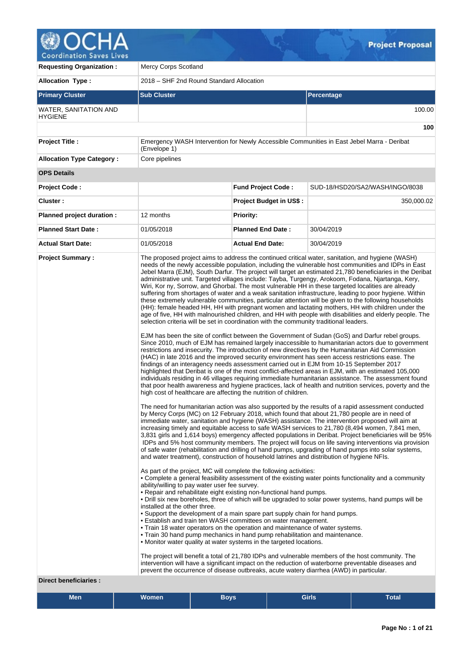

| <b>Requesting Organization:</b>                         | <b>Mercy Corps Scotland</b>                                                                                                                                                                                                     |                                                                                                                                                                                                                                                                                                                                                                                                                                                                                                                                                                                                                                                                                                                                                                                                                                                                                                                                                                                                                                                                                                                                                                                                                                                                                                                                                                                                                                                                                                                                                                                                                                                                                                                                                                                                                                                                                                                                                                                                                                                                                                                                                                                                                                                                                                                                                                                                                                                                                                                                                                                                                                                                                                                                                                                                                                                                                                                                                                                                                                                                                                                                                                                                                                                                                                                                                                                                                                                                                                                                                                                                                                                                                                                                           |                                 |  |  |  |  |
|---------------------------------------------------------|---------------------------------------------------------------------------------------------------------------------------------------------------------------------------------------------------------------------------------|-------------------------------------------------------------------------------------------------------------------------------------------------------------------------------------------------------------------------------------------------------------------------------------------------------------------------------------------------------------------------------------------------------------------------------------------------------------------------------------------------------------------------------------------------------------------------------------------------------------------------------------------------------------------------------------------------------------------------------------------------------------------------------------------------------------------------------------------------------------------------------------------------------------------------------------------------------------------------------------------------------------------------------------------------------------------------------------------------------------------------------------------------------------------------------------------------------------------------------------------------------------------------------------------------------------------------------------------------------------------------------------------------------------------------------------------------------------------------------------------------------------------------------------------------------------------------------------------------------------------------------------------------------------------------------------------------------------------------------------------------------------------------------------------------------------------------------------------------------------------------------------------------------------------------------------------------------------------------------------------------------------------------------------------------------------------------------------------------------------------------------------------------------------------------------------------------------------------------------------------------------------------------------------------------------------------------------------------------------------------------------------------------------------------------------------------------------------------------------------------------------------------------------------------------------------------------------------------------------------------------------------------------------------------------------------------------------------------------------------------------------------------------------------------------------------------------------------------------------------------------------------------------------------------------------------------------------------------------------------------------------------------------------------------------------------------------------------------------------------------------------------------------------------------------------------------------------------------------------------------------------------------------------------------------------------------------------------------------------------------------------------------------------------------------------------------------------------------------------------------------------------------------------------------------------------------------------------------------------------------------------------------------------------------------------------------------------------------------------------------|---------------------------------|--|--|--|--|
| <b>Allocation Type:</b>                                 | 2018 - SHF 2nd Round Standard Allocation                                                                                                                                                                                        |                                                                                                                                                                                                                                                                                                                                                                                                                                                                                                                                                                                                                                                                                                                                                                                                                                                                                                                                                                                                                                                                                                                                                                                                                                                                                                                                                                                                                                                                                                                                                                                                                                                                                                                                                                                                                                                                                                                                                                                                                                                                                                                                                                                                                                                                                                                                                                                                                                                                                                                                                                                                                                                                                                                                                                                                                                                                                                                                                                                                                                                                                                                                                                                                                                                                                                                                                                                                                                                                                                                                                                                                                                                                                                                                           |                                 |  |  |  |  |
| <b>Primary Cluster</b>                                  | <b>Sub Cluster</b>                                                                                                                                                                                                              |                                                                                                                                                                                                                                                                                                                                                                                                                                                                                                                                                                                                                                                                                                                                                                                                                                                                                                                                                                                                                                                                                                                                                                                                                                                                                                                                                                                                                                                                                                                                                                                                                                                                                                                                                                                                                                                                                                                                                                                                                                                                                                                                                                                                                                                                                                                                                                                                                                                                                                                                                                                                                                                                                                                                                                                                                                                                                                                                                                                                                                                                                                                                                                                                                                                                                                                                                                                                                                                                                                                                                                                                                                                                                                                                           | <b>Percentage</b>               |  |  |  |  |
| WATER, SANITATION AND<br><b>HYGIENE</b>                 |                                                                                                                                                                                                                                 |                                                                                                                                                                                                                                                                                                                                                                                                                                                                                                                                                                                                                                                                                                                                                                                                                                                                                                                                                                                                                                                                                                                                                                                                                                                                                                                                                                                                                                                                                                                                                                                                                                                                                                                                                                                                                                                                                                                                                                                                                                                                                                                                                                                                                                                                                                                                                                                                                                                                                                                                                                                                                                                                                                                                                                                                                                                                                                                                                                                                                                                                                                                                                                                                                                                                                                                                                                                                                                                                                                                                                                                                                                                                                                                                           | 100.00                          |  |  |  |  |
|                                                         |                                                                                                                                                                                                                                 |                                                                                                                                                                                                                                                                                                                                                                                                                                                                                                                                                                                                                                                                                                                                                                                                                                                                                                                                                                                                                                                                                                                                                                                                                                                                                                                                                                                                                                                                                                                                                                                                                                                                                                                                                                                                                                                                                                                                                                                                                                                                                                                                                                                                                                                                                                                                                                                                                                                                                                                                                                                                                                                                                                                                                                                                                                                                                                                                                                                                                                                                                                                                                                                                                                                                                                                                                                                                                                                                                                                                                                                                                                                                                                                                           | 100                             |  |  |  |  |
| <b>Project Title:</b>                                   | (Envelope 1)                                                                                                                                                                                                                    | Emergency WASH Intervention for Newly Accessible Communities in East Jebel Marra - Deribat                                                                                                                                                                                                                                                                                                                                                                                                                                                                                                                                                                                                                                                                                                                                                                                                                                                                                                                                                                                                                                                                                                                                                                                                                                                                                                                                                                                                                                                                                                                                                                                                                                                                                                                                                                                                                                                                                                                                                                                                                                                                                                                                                                                                                                                                                                                                                                                                                                                                                                                                                                                                                                                                                                                                                                                                                                                                                                                                                                                                                                                                                                                                                                                                                                                                                                                                                                                                                                                                                                                                                                                                                                                |                                 |  |  |  |  |
| <b>Allocation Type Category:</b>                        | Core pipelines                                                                                                                                                                                                                  |                                                                                                                                                                                                                                                                                                                                                                                                                                                                                                                                                                                                                                                                                                                                                                                                                                                                                                                                                                                                                                                                                                                                                                                                                                                                                                                                                                                                                                                                                                                                                                                                                                                                                                                                                                                                                                                                                                                                                                                                                                                                                                                                                                                                                                                                                                                                                                                                                                                                                                                                                                                                                                                                                                                                                                                                                                                                                                                                                                                                                                                                                                                                                                                                                                                                                                                                                                                                                                                                                                                                                                                                                                                                                                                                           |                                 |  |  |  |  |
| <b>OPS Details</b>                                      |                                                                                                                                                                                                                                 |                                                                                                                                                                                                                                                                                                                                                                                                                                                                                                                                                                                                                                                                                                                                                                                                                                                                                                                                                                                                                                                                                                                                                                                                                                                                                                                                                                                                                                                                                                                                                                                                                                                                                                                                                                                                                                                                                                                                                                                                                                                                                                                                                                                                                                                                                                                                                                                                                                                                                                                                                                                                                                                                                                                                                                                                                                                                                                                                                                                                                                                                                                                                                                                                                                                                                                                                                                                                                                                                                                                                                                                                                                                                                                                                           |                                 |  |  |  |  |
| <b>Project Code:</b>                                    |                                                                                                                                                                                                                                 | <b>Fund Project Code:</b>                                                                                                                                                                                                                                                                                                                                                                                                                                                                                                                                                                                                                                                                                                                                                                                                                                                                                                                                                                                                                                                                                                                                                                                                                                                                                                                                                                                                                                                                                                                                                                                                                                                                                                                                                                                                                                                                                                                                                                                                                                                                                                                                                                                                                                                                                                                                                                                                                                                                                                                                                                                                                                                                                                                                                                                                                                                                                                                                                                                                                                                                                                                                                                                                                                                                                                                                                                                                                                                                                                                                                                                                                                                                                                                 | SUD-18/HSD20/SA2/WASH/INGO/8038 |  |  |  |  |
| Cluster:                                                |                                                                                                                                                                                                                                 | <b>Project Budget in US\$:</b>                                                                                                                                                                                                                                                                                                                                                                                                                                                                                                                                                                                                                                                                                                                                                                                                                                                                                                                                                                                                                                                                                                                                                                                                                                                                                                                                                                                                                                                                                                                                                                                                                                                                                                                                                                                                                                                                                                                                                                                                                                                                                                                                                                                                                                                                                                                                                                                                                                                                                                                                                                                                                                                                                                                                                                                                                                                                                                                                                                                                                                                                                                                                                                                                                                                                                                                                                                                                                                                                                                                                                                                                                                                                                                            | 350,000.02                      |  |  |  |  |
| Planned project duration :                              | 12 months                                                                                                                                                                                                                       | <b>Priority:</b>                                                                                                                                                                                                                                                                                                                                                                                                                                                                                                                                                                                                                                                                                                                                                                                                                                                                                                                                                                                                                                                                                                                                                                                                                                                                                                                                                                                                                                                                                                                                                                                                                                                                                                                                                                                                                                                                                                                                                                                                                                                                                                                                                                                                                                                                                                                                                                                                                                                                                                                                                                                                                                                                                                                                                                                                                                                                                                                                                                                                                                                                                                                                                                                                                                                                                                                                                                                                                                                                                                                                                                                                                                                                                                                          |                                 |  |  |  |  |
| <b>Planned Start Date:</b>                              | 01/05/2018                                                                                                                                                                                                                      | <b>Planned End Date:</b>                                                                                                                                                                                                                                                                                                                                                                                                                                                                                                                                                                                                                                                                                                                                                                                                                                                                                                                                                                                                                                                                                                                                                                                                                                                                                                                                                                                                                                                                                                                                                                                                                                                                                                                                                                                                                                                                                                                                                                                                                                                                                                                                                                                                                                                                                                                                                                                                                                                                                                                                                                                                                                                                                                                                                                                                                                                                                                                                                                                                                                                                                                                                                                                                                                                                                                                                                                                                                                                                                                                                                                                                                                                                                                                  | 30/04/2019                      |  |  |  |  |
| <b>Actual Start Date:</b>                               | 01/05/2018                                                                                                                                                                                                                      | <b>Actual End Date:</b>                                                                                                                                                                                                                                                                                                                                                                                                                                                                                                                                                                                                                                                                                                                                                                                                                                                                                                                                                                                                                                                                                                                                                                                                                                                                                                                                                                                                                                                                                                                                                                                                                                                                                                                                                                                                                                                                                                                                                                                                                                                                                                                                                                                                                                                                                                                                                                                                                                                                                                                                                                                                                                                                                                                                                                                                                                                                                                                                                                                                                                                                                                                                                                                                                                                                                                                                                                                                                                                                                                                                                                                                                                                                                                                   | 30/04/2019                      |  |  |  |  |
| <b>Project Summary:</b><br><b>Direct beneficiaries:</b> | installed at the other three.<br>intervention will have a significant impact on the reduction of waterborne preventable diseases and<br>prevent the occurrence of disease outbreaks, acute watery diarrhea (AWD) in particular. | The proposed project aims to address the continued critical water, sanitation, and hygiene (WASH)<br>needs of the newly accessible population, including the vulnerable host communities and IDPs in East<br>Jebel Marra (EJM), South Darfur. The project will target an estimated 21,780 beneficiaries in the Deribat<br>administrative unit. Targeted villages include: Tayba, Turgengy, Arokoom, Fodana, Njartanga, Kery,<br>Wiri, Kor ny, Sorrow, and Ghorbal. The most vulnerable HH in these targeted localities are already<br>suffering from shortages of water and a weak sanitation infrastructure, leading to poor hygiene. Within<br>these extremely vulnerable communities, particular attention will be given to the following households<br>(HH): female headed HH, HH with pregnant women and lactating mothers, HH with children under the<br>age of five, HH with malnourished children, and HH with people with disabilities and elderly people. The<br>selection criteria will be set in coordination with the community traditional leaders.<br>EJM has been the site of conflict between the Government of Sudan (GoS) and Darfur rebel groups.<br>Since 2010, much of EJM has remained largely inaccessible to humanitarian actors due to government<br>restrictions and insecurity. The introduction of new directives by the Humanitarian Aid Commission<br>(HAC) in late 2016 and the improved security environment has seen access restrictions ease. The<br>findings of an interagency needs assessment carried out in EJM from 10-15 September 2017<br>highlighted that Deribat is one of the most conflict-affected areas in EJM, with an estimated 105,000<br>individuals residing in 46 villages requiring immediate humanitarian assistance. The assessment found<br>that poor health awareness and hygiene practices, lack of health and nutrition services, poverty and the<br>high cost of healthcare are affecting the nutrition of children.<br>The need for humanitarian action was also supported by the results of a rapid assessment conducted<br>by Mercy Corps (MC) on 12 February 2018, which found that about 21,780 people are in need of<br>immediate water, sanitation and hygiene (WASH) assistance. The intervention proposed will aim at<br>increasing timely and equitable access to safe WASH services to 21,780 (8,494 women, 7,841 men,<br>3,831 girls and 1,614 boys) emergency affected populations in Deribat. Project beneficiaries will be 95%<br>IDPs and 5% host community members. The project will focus on life saving interventions via provision<br>of safe water (rehabilitation and drilling of hand pumps, upgrading of hand pumps into solar systems,<br>and water treatment), construction of household latrines and distribution of hygiene NFIs.<br>As part of the project, MC will complete the following activities:<br>• Complete a general feasibility assessment of the existing water points functionality and a community<br>ability/willing to pay water user fee survey.<br>. Repair and rehabilitate eight existing non-functional hand pumps.<br>• Drill six new boreholes, three of which will be upgraded to solar power systems, hand pumps will be<br>• Support the development of a main spare part supply chain for hand pumps.<br>• Establish and train ten WASH committees on water management.<br>• Train 18 water operators on the operation and maintenance of water systems.<br>. Train 30 hand pump mechanics in hand pump rehabilitation and maintenance.<br>• Monitor water quality at water systems in the targeted locations.<br>The project will benefit a total of 21,780 IDPs and vulnerable members of the host community. The |                                 |  |  |  |  |

| --<br>Men | $\cdots$<br>Women | Bovs | <b>Girls</b> | _<br><b>Total</b> |
|-----------|-------------------|------|--------------|-------------------|
|           |                   |      |              |                   |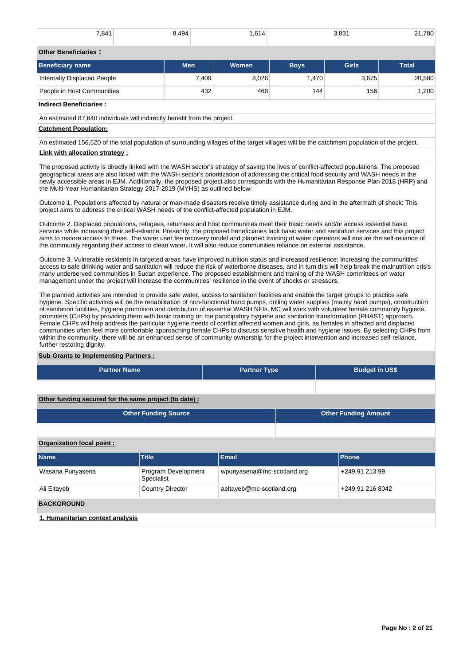| 7,841 | $^{\circ}$ 494<br>$\cdot$ $\cdot$ | ,614 | 3831<br>∵.ບບ | 21,780<br>$- \cdot$ , |
|-------|-----------------------------------|------|--------------|-----------------------|
|       |                                   |      |              |                       |

## **Other Beneficiaries :**

| Beneficiary name            | <b>Men</b> | Women | <b>Boys</b> | <b>Girls</b> | <b>Total</b> |
|-----------------------------|------------|-------|-------------|--------------|--------------|
| Internally Displaced People | 7,409      | 8,026 | .470        | 3,675        | 20,580       |
| People in Host Communities  | 432        | 468   | 144         | 156          | .200         |

## **Indirect Beneficiaries :**

An estimated 87,640 individuals will indirectly benefit from the project.

## **Catchment Population:**

An estimated 156,520 of the total population of surrounding villages of the target villages will be the catchment population of the project. **Link with allocation strategy :**

The proposed activity is directly linked with the WASH sector's strategy of saving the lives of conflict-affected populations. The proposed geographical areas are also linked with the WASH sector's prioritization of addressing the critical food security and WASH needs in the newly accessible areas in EJM. Additionally, the proposed project also corresponds with the Humanitarian Response Plan 2018 (HRP) and the Multi-Year Humanitarian Strategy 2017-2019 (MYHS) as outlined below:

Outcome 1. Populations affected by natural or man-made disasters receive timely assistance during and in the aftermath of shock: This project aims to address the critical WASH needs of the conflict-affected population in EJM.

Outcome 2. Displaced populations, refugees, returnees and host communities meet their basic needs and/or access essential basic services while increasing their self-reliance: Presently, the proposed beneficiaries lack basic water and sanitation services and this project aims to restore access to these. The water user fee recovery model and planned training of water operators will ensure the self-reliance of the community regarding their access to clean water. It will also reduce communities reliance on external assistance.

Outcome 3. Vulnerable residents in targeted areas have improved nutrition status and increased resilience: Increasing the communities' access to safe drinking water and sanitation will reduce the risk of waterborne diseases, and in turn this will help break the malnutrition crisis many underserved communities in Sudan experience. The proposed establishment and training of the WASH committees on water management under the project will increase the communities' resilience in the event of shocks or stressors.

The planned activities are intended to provide safe water, access to sanitation facilities and enable the target groups to practice safe hygiene. Specific activities will be the rehabilitation of non-functional hand pumps, drilling water supplies (mainly hand pumps), construction of sanitation facilities, hygiene promotion and distribution of essential WASH NFIs. MC will work with volunteer female community hygiene promoters (CHPs) by providing them with basic training on the participatory hygiene and sanitation transformation (PHAST) approach. Female CHPs will help address the particular hygiene needs of conflict affected women and girls, as females in affected and displaced communities often feel more comfortable approaching female CHPs to discuss sensitive health and hygiene issues. By selecting CHPs from within the community, there will be an enhanced sense of community ownership for the project intervention and increased self-reliance, further restoring dignity.

## **Sub-Grants to Implementing Partners :**

| <b>Partner Name</b> | <b>Partner Type</b> | <b>Budget in US\$</b> |
|---------------------|---------------------|-----------------------|
|                     |                     |                       |

**Other funding secured for the same project (to date) :**

| <b>Other Funding Source</b> | <b>Other Funding Amount</b> |
|-----------------------------|-----------------------------|
|                             |                             |

## **Organization focal point :**

| <b>Name</b>                      | <b>Title</b>                      | <b>Email</b>               | <b>Phone</b>     |  |  |  |
|----------------------------------|-----------------------------------|----------------------------|------------------|--|--|--|
| Wasana Punyasena                 | Program Development<br>Specialist | wpunyasena@mc-scotland.org | +249 91 213 99   |  |  |  |
| Ali Eltayeb                      | <b>Country Director</b>           | aeltayeb@mc-scotland.org   | +249 91 216 8042 |  |  |  |
| <b>BACKGROUND</b>                |                                   |                            |                  |  |  |  |
| 1. Humanitarian context analysis |                                   |                            |                  |  |  |  |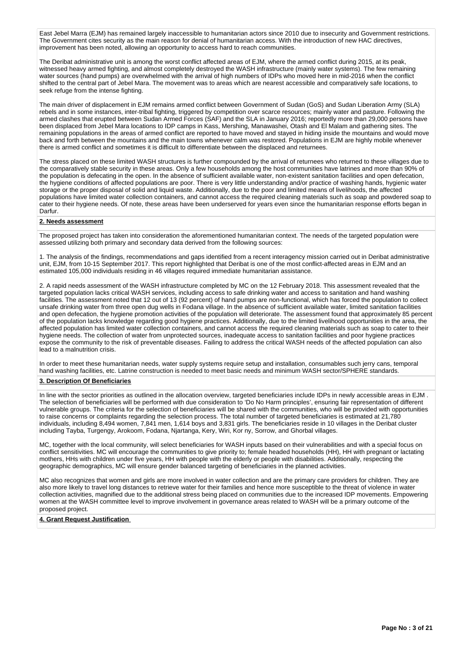East Jebel Marra (EJM) has remained largely inaccessible to humanitarian actors since 2010 due to insecurity and Government restrictions. The Government cites security as the main reason for denial of humanitarian access. With the introduction of new HAC directives, improvement has been noted, allowing an opportunity to access hard to reach communities.

The Deribat administrative unit is among the worst conflict affected areas of EJM, where the armed conflict during 2015, at its peak, witnessed heavy armed fighting, and almost completely destroyed the WASH infrastructure (mainly water systems). The few remaining water sources (hand pumps) are overwhelmed with the arrival of high numbers of IDPs who moved here in mid-2016 when the conflict shifted to the central part of Jebel Mara. The movement was to areas which are nearest accessible and comparatively safe locations, to seek refuge from the intense fighting.

The main driver of displacement in EJM remains armed conflict between Government of Sudan (GoS) and Sudan Liberation Army (SLA) rebels and in some instances, inter-tribal fighting, triggered by competition over scarce resources; mainly water and pasture. Following the armed clashes that erupted between Sudan Armed Forces (SAF) and the SLA in January 2016; reportedly more than 29,000 persons have been displaced from Jebel Mara locations to IDP camps in Kass, Mershing, Manawashei, Otash and El Malam and gathering sites. The remaining populations in the areas of armed conflict are reported to have moved and stayed in hiding inside the mountains and would move back and forth between the mountains and the main towns whenever calm was restored. Populations in EJM are highly mobile whenever there is armed conflict and sometimes it is difficult to differentiate between the displaced and returnees.

The stress placed on these limited WASH structures is further compounded by the arrival of returnees who returned to these villages due to the comparatively stable security in these areas. Only a few households among the host communities have latrines and more than 90% of the population is defecating in the open. In the absence of sufficient available water, non-existent sanitation facilities and open defecation, the hygiene conditions of affected populations are poor. There is very little understanding and/or practice of washing hands, hygienic water storage or the proper disposal of solid and liquid waste. Additionally, due to the poor and limited means of livelihoods, the affected populations have limited water collection containers, and cannot access the required cleaning materials such as soap and powdered soap to cater to their hygiene needs. Of note, these areas have been underserved for years even since the humanitarian response efforts began in Darfur.

## **2. Needs assessment**

The proposed project has taken into consideration the aforementioned humanitarian context. The needs of the targeted population were assessed utilizing both primary and secondary data derived from the following sources:

1. The analysis of the findings, recommendations and gaps identified from a recent interagency mission carried out in Deribat administrative unit, EJM, from 10-15 September 2017. This report highlighted that Deribat is one of the most conflict-affected areas in EJM and an estimated 105,000 individuals residing in 46 villages required immediate humanitarian assistance.

2. A rapid needs assessment of the WASH infrastructure completed by MC on the 12 February 2018. This assessment revealed that the targeted population lacks critical WASH services, including access to safe drinking water and access to sanitation and hand washing facilities. The assessment noted that 12 out of 13 (92 percent) of hand pumps are non-functional, which has forced the population to collect unsafe drinking water from three open dug wells in Fodana village. In the absence of sufficient available water, limited sanitation facilities and open defecation, the hygiene promotion activities of the population will deteriorate. The assessment found that approximately 85 percent of the population lacks knowledge regarding good hygiene practices. Additionally, due to the limited livelihood opportunities in the area, the affected population has limited water collection containers, and cannot access the required cleaning materials such as soap to cater to their hygiene needs. The collection of water from unprotected sources, inadequate access to sanitation facilities and poor hygiene practices expose the community to the risk of preventable diseases. Failing to address the critical WASH needs of the affected population can also lead to a malnutrition crisis.

In order to meet these humanitarian needs, water supply systems require setup and installation, consumables such jerry cans, temporal hand washing facilities, etc. Latrine construction is needed to meet basic needs and minimum WASH sector/SPHERE standards.

#### **3. Description Of Beneficiaries**

In line with the sector priorities as outlined in the allocation overview, targeted beneficiaries include IDPs in newly accessible areas in EJM The selection of beneficiaries will be performed with due consideration to 'Do No Harm principles', ensuring fair representation of different vulnerable groups. The criteria for the selection of beneficiaries will be shared with the communities, who will be provided with opportunities to raise concerns or complaints regarding the selection process. The total number of targeted beneficiaries is estimated at 21,780 individuals, including 8,494 women, 7,841 men, 1,614 boys and 3,831 girls. The beneficiaries reside in 10 villages in the Deribat cluster including Tayba, Turgengy, Arokoom, Fodana, Njartanga, Kery, Wiri, Kor ny, Sorrow, and Ghorbal villages.

MC, together with the local community, will select beneficiaries for WASH inputs based on their vulnerabilities and with a special focus on conflict sensitivities. MC will encourage the communities to give priority to; female headed households (HH), HH with pregnant or lactating mothers, HHs with children under five years, HH with people with the elderly or people with disabilities. Additionally, respecting the geographic demographics, MC will ensure gender balanced targeting of beneficiaries in the planned activities.

MC also recognizes that women and girls are more involved in water collection and are the primary care providers for children. They are also more likely to travel long distances to retrieve water for their families and hence more susceptible to the threat of violence in water collection activities, magnified due to the additional stress being placed on communities due to the increased IDP movements. Empowering women at the WASH committee level to improve involvement in governance areas related to WASH will be a primary outcome of the proposed project.

## **4. Grant Request Justification**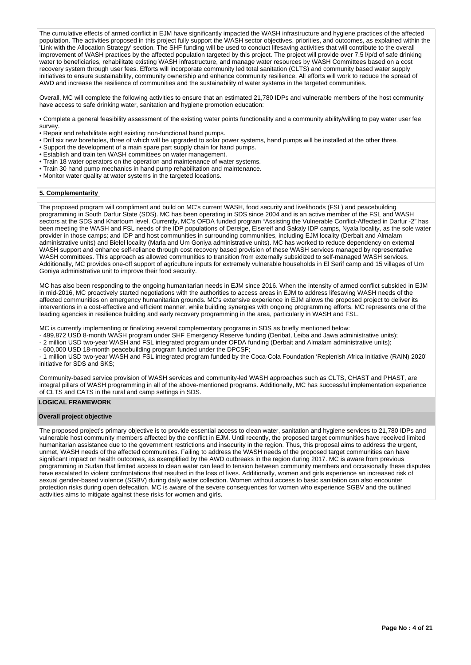The cumulative effects of armed conflict in EJM have significantly impacted the WASH infrastructure and hygiene practices of the affected population. The activities proposed in this project fully support the WASH sector objectives, priorities, and outcomes, as explained within the 'Link with the Allocation Strategy' section. The SHF funding will be used to conduct lifesaving activities that will contribute to the overall improvement of WASH practices by the affected population targeted by this project. The project will provide over 7.5 l/p/d of safe drinking water to beneficiaries, rehabilitate existing WASH infrastructure, and manage water resources by WASH Committees based on a cost recovery system through user fees. Efforts will incorporate community led total sanitation (CLTS) and community based water supply initiatives to ensure sustainability, community ownership and enhance community resilience. All efforts will work to reduce the spread of AWD and increase the resilience of communities and the sustainability of water systems in the targeted communities.

Overall, MC will complete the following activities to ensure that an estimated 21,780 IDPs and vulnerable members of the host community have access to safe drinking water, sanitation and hygiene promotion education:

• Complete a general feasibility assessment of the existing water points functionality and a community ability/willing to pay water user fee survey.

- Repair and rehabilitate eight existing non-functional hand pumps.
- Drill six new boreholes, three of which will be upgraded to solar power systems, hand pumps will be installed at the other three.
- Support the development of a main spare part supply chain for hand pumps.
- Establish and train ten WASH committees on water management.
- Train 18 water operators on the operation and maintenance of water systems.
- Train 30 hand pump mechanics in hand pump rehabilitation and maintenance.
- Monitor water quality at water systems in the targeted locations.

## **5. Complementarity**

The proposed program will compliment and build on MC's current WASH, food security and livelihoods (FSL) and peacebuilding programming in South Darfur State (SDS). MC has been operating in SDS since 2004 and is an active member of the FSL and WASH sectors at the SDS and Khartoum level. Currently, MC's OFDA funded program "Assisting the Vulnerable Conflict-Affected in Darfur -2" has been meeting the WASH and FSL needs of the IDP populations of Dereige, Elsereif and Sakaly IDP camps, Nyala locality, as the sole water provider in those camps; and IDP and host communities in surrounding communities, including EJM locality (Derbait and Almalam administrative units) and Bielel locality (Marla and Um Goniya administrative units). MC has worked to reduce dependency on external WASH support and enhance self-reliance through cost recovery based provision of these WASH services managed by representative WASH committees. This approach as allowed communities to transition from externally subsidized to self-managed WASH services. Additionally, MC provides one-off support of agriculture inputs for extremely vulnerable households in El Serif camp and 15 villages of Um Goniya administrative unit to improve their food security.

MC has also been responding to the ongoing humanitarian needs in EJM since 2016. When the intensity of armed conflict subsided in EJM in mid-2016, MC proactively started negotiations with the authorities to access areas in EJM to address lifesaving WASH needs of the affected communities on emergency humanitarian grounds. MC's extensive experience in EJM allows the proposed project to deliver its interventions in a cost-effective and efficient manner, while building synergies with ongoing programming efforts. MC represents one of the leading agencies in resilience building and early recovery programming in the area, particularly in WASH and FSL.

MC is currently implementing or finalizing several complementary programs in SDS as briefly mentioned below:

- 499,872 USD 8-month WASH program under SHF Emergency Reserve funding (Deribat, Leiba and Jawa administrative units);

- 2 million USD two-year WASH and FSL integrated program under OFDA funding (Derbait and Almalam administrative units);

- 600,000 USD 18-month peacebuilding program funded under the DPCSF;

- 1 million USD two-year WASH and FSL integrated program funded by the Coca-Cola Foundation 'Replenish Africa Initiative (RAIN) 2020' initiative for SDS and SKS;

Community-based service provision of WASH services and community-led WASH approaches such as CLTS, CHAST and PHAST, are integral pillars of WASH programming in all of the above-mentioned programs. Additionally, MC has successful implementation experience of CLTS and CATS in the rural and camp settings in SDS.

## **LOGICAL FRAMEWORK**

#### **Overall project objective**

The proposed project's primary objective is to provide essential access to clean water, sanitation and hygiene services to 21,780 IDPs and vulnerable host community members affected by the conflict in EJM. Until recently, the proposed target communities have received limited humanitarian assistance due to the government restrictions and insecurity in the region. Thus, this proposal aims to address the urgent, unmet, WASH needs of the affected communities. Failing to address the WASH needs of the proposed target communities can have significant impact on health outcomes, as exemplified by the AWD outbreaks in the region during 2017. MC is aware from previous programming in Sudan that limited access to clean water can lead to tension between community members and occasionally these disputes have escalated to violent confrontations that resulted in the loss of lives. Additionally, women and girls experience an increased risk of sexual gender-based violence (SGBV) during daily water collection. Women without access to basic sanitation can also encounter protection risks during open defecation. MC is aware of the severe consequences for women who experience SGBV and the outlined activities aims to mitigate against these risks for women and girls.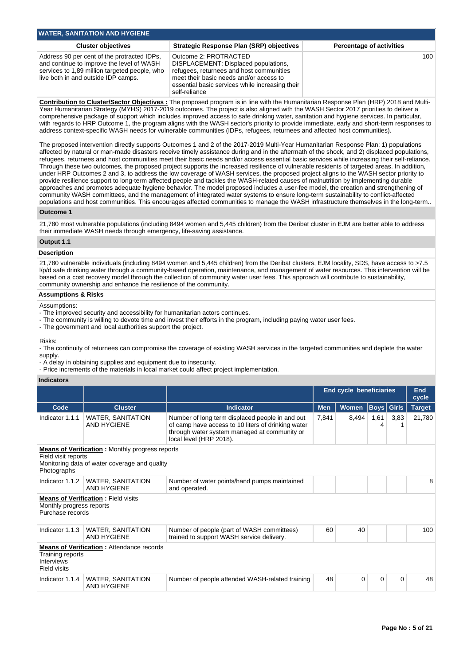| <b>WATER, SANITATION AND HYGIENE</b>                                                                                                                                             |                                                                                                                                                                                                                          |                                 |  |  |  |  |  |
|----------------------------------------------------------------------------------------------------------------------------------------------------------------------------------|--------------------------------------------------------------------------------------------------------------------------------------------------------------------------------------------------------------------------|---------------------------------|--|--|--|--|--|
| <b>Cluster objectives</b>                                                                                                                                                        | <b>Strategic Response Plan (SRP) objectives</b>                                                                                                                                                                          | <b>Percentage of activities</b> |  |  |  |  |  |
| Address 90 per cent of the protracted IDPs,<br>and continue to improve the level of WASH<br>services to 1,89 million targeted people, who<br>live both in and outside IDP camps. | Outcome 2: PROTRACTED<br>DISPLACEMENT: Displaced populations,<br>refugees, returnees and host communities<br>meet their basic needs and/or access to<br>essential basic services while increasing their<br>self-reliance | 100 <sup>1</sup>                |  |  |  |  |  |

**Contribution to Cluster/Sector Objectives :** The proposed program is in line with the Humanitarian Response Plan (HRP) 2018 and Multi-Year Humanitarian Strategy (MYHS) 2017-2019 outcomes. The project is also aligned with the WASH Sector 2017 priorities to deliver a comprehensive package of support which includes improved access to safe drinking water, sanitation and hygiene services. In particular, with regards to HRP Outcome 1, the program aligns with the WASH sector's priority to provide immediate, early and short-term responses to address context-specific WASH needs for vulnerable communities (IDPs, refugees, returnees and affected host communities).

The proposed intervention directly supports Outcomes 1 and 2 of the 2017-2019 Multi-Year Humanitarian Response Plan: 1) populations affected by natural or man-made disasters receive timely assistance during and in the aftermath of the shock, and 2) displaced populations, refugees, returnees and host communities meet their basic needs and/or access essential basic services while increasing their self-reliance. Through these two outcomes, the proposed project supports the increased resilience of vulnerable residents of targeted areas. In addition, under HRP Outcomes 2 and 3, to address the low coverage of WASH services, the proposed project aligns to the WASH sector priority to provide resilience support to long-term affected people and tackles the WASH-related causes of malnutrition by implementing durable approaches and promotes adequate hygiene behavior. The model proposed includes a user-fee model, the creation and strengthening of community WASH committees, and the management of integrated water systems to ensure long-term sustainability to conflict-affected populations and host communities. This encourages affected communities to manage the WASH infrastructure themselves in the long-term..

#### **Outcome 1**

21,780 most vulnerable populations (including 8494 women and 5,445 children) from the Deribat cluster in EJM are better able to address their immediate WASH needs through emergency, life-saving assistance.

## **Output 1.1**

#### **Description**

21,780 vulnerable individuals (including 8494 women and 5,445 children) from the Deribat clusters, EJM locality, SDS, have access to >7.5 l/p/d safe drinking water through a community-based operation, maintenance, and management of water resources. This intervention will be based on a cost recovery model through the collection of community water user fees. This approach will contribute to sustainability, community ownership and enhance the resilience of the community.

#### **Assumptions & Risks**

Assumptions:

- The improved security and accessibility for humanitarian actors continues.
- The community is willing to devote time and invest their efforts in the program, including paying water user fees.
- The government and local authorities support the project.

Risks:

- The continuity of returnees can compromise the coverage of existing WASH services in the targeted communities and deplete the water supply.

- A delay in obtaining supplies and equipment due to insecurity.
- Price increments of the materials in local market could affect project implementation.

## **Indicators**

|                                                                                                                                               |                                                  |                                                                                                                                                                                  | <b>End cycle beneficiaries</b> |              |                   | End<br>cycle |               |
|-----------------------------------------------------------------------------------------------------------------------------------------------|--------------------------------------------------|----------------------------------------------------------------------------------------------------------------------------------------------------------------------------------|--------------------------------|--------------|-------------------|--------------|---------------|
| Code                                                                                                                                          | <b>Cluster</b>                                   | <b>Indicator</b>                                                                                                                                                                 | <b>Men</b>                     | <b>Women</b> | <b>Boys</b> Girls |              | <b>Target</b> |
| Indicator 1.1.1                                                                                                                               | <b>WATER, SANITATION</b><br><b>AND HYGIENE</b>   | Number of long term displaced people in and out<br>of camp have access to 10 liters of drinking water<br>through water system managed at community or<br>local level (HRP 2018). | 7.841                          | 8,494        | 1,61<br>4         | 3,83         | 21,780        |
| <b>Means of Verification:</b> Monthly progress reports<br>Field visit reports<br>Monitoring data of water coverage and quality<br>Photographs |                                                  |                                                                                                                                                                                  |                                |              |                   |              |               |
| Indicator 1.1.2                                                                                                                               | <b>WATER, SANITATION</b><br><b>AND HYGIENE</b>   | Number of water points/hand pumps maintained<br>and operated.                                                                                                                    |                                |              |                   |              | 8             |
| <b>Means of Verification:</b> Field visits<br>Monthly progress reports<br>Purchase records                                                    |                                                  |                                                                                                                                                                                  |                                |              |                   |              |               |
| Indicator 1.1.3                                                                                                                               | WATER, SANITATION<br><b>AND HYGIENE</b>          | Number of people (part of WASH committees)<br>trained to support WASH service delivery.                                                                                          | 60                             | 40           |                   |              | 100           |
| Training reports<br><b>Interviews</b><br>Field visits                                                                                         | <b>Means of Verification: Attendance records</b> |                                                                                                                                                                                  |                                |              |                   |              |               |
| Indicator 1.1.4                                                                                                                               | <b>WATER, SANITATION</b><br><b>AND HYGIENE</b>   | Number of people attended WASH-related training                                                                                                                                  | 48                             | 0            | 0                 | 0            | 48            |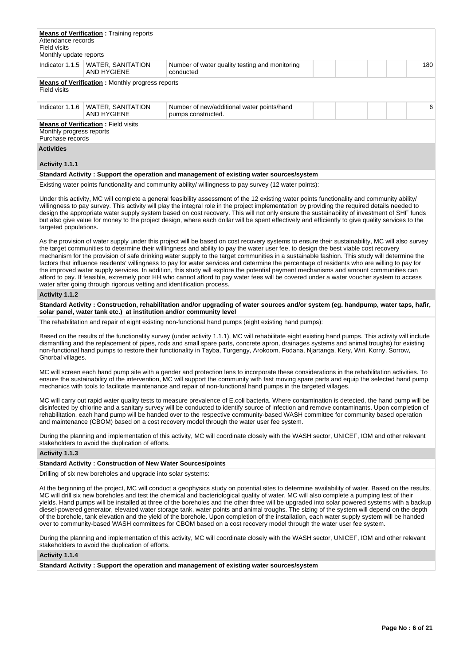| Attendance records<br>Field visits<br>Monthly update reports | <b>Means of Verification:</b> Training reports         |                                                                  |  |  |     |
|--------------------------------------------------------------|--------------------------------------------------------|------------------------------------------------------------------|--|--|-----|
| Indicator 1.1.5                                              | WATER, SANITATION<br><b>AND HYGIENE</b>                | Number of water quality testing and monitoring<br>conducted      |  |  | 180 |
| Field visits                                                 | <b>Means of Verification:</b> Monthly progress reports |                                                                  |  |  |     |
| Indicator 1.1.6                                              | WATER, SANITATION<br>AND HYGIENE                       | Number of new/additional water points/hand<br>pumps constructed. |  |  | 6   |
| Monthly progress reports<br>Purchase records                 | <b>Means of Verification: Field visits</b>             |                                                                  |  |  |     |
| <b>Activities</b>                                            |                                                        |                                                                  |  |  |     |

#### **Activity 1.1.1**

#### **Standard Activity : Support the operation and management of existing water sources/system**

Existing water points functionality and community ability/ willingness to pay survey (12 water points):

Under this activity, MC will complete a general feasibility assessment of the 12 existing water points functionality and community ability/ willingness to pay survey. This activity will play the integral role in the project implementation by providing the required details needed to design the appropriate water supply system based on cost recovery. This will not only ensure the sustainability of investment of SHF funds but also give value for money to the project design, where each dollar will be spent effectively and efficiently to give quality services to the targeted populations.

As the provision of water supply under this project will be based on cost recovery systems to ensure their sustainability, MC will also survey the target communities to determine their willingness and ability to pay the water user fee, to design the best viable cost recovery mechanism for the provision of safe drinking water supply to the target communities in a sustainable fashion. This study will determine the factors that influence residents' willingness to pay for water services and determine the percentage of residents who are willing to pay for the improved water supply services. In addition, this study will explore the potential payment mechanisms and amount communities can afford to pay. If feasible, extremely poor HH who cannot afford to pay water fees will be covered under a water voucher system to access water after going through rigorous vetting and identification process.

#### **Activity 1.1.2**

**Standard Activity : Construction, rehabilitation and/or upgrading of water sources and/or system (eg. handpump, water taps, hafir, solar panel, water tank etc.) at institution and/or community level**

The rehabilitation and repair of eight existing non-functional hand pumps (eight existing hand pumps):

Based on the results of the functionality survey (under activity 1.1.1), MC will rehabilitate eight existing hand pumps. This activity will include dismantling and the replacement of pipes, rods and small spare parts, concrete apron, drainages systems and animal troughs) for existing non-functional hand pumps to restore their functionality in Tayba, Turgengy, Arokoom, Fodana, Njartanga, Kery, Wiri, Korny, Sorrow, Ghorbal villages.

MC will screen each hand pump site with a gender and protection lens to incorporate these considerations in the rehabilitation activities. To ensure the sustainability of the intervention, MC will support the community with fast moving spare parts and equip the selected hand pump mechanics with tools to facilitate maintenance and repair of non-functional hand pumps in the targeted villages.

MC will carry out rapid water quality tests to measure prevalence of E.coli bacteria. Where contamination is detected, the hand pump will be disinfected by chlorine and a sanitary survey will be conducted to identify source of infection and remove contaminants. Upon completion of rehabilitation, each hand pump will be handed over to the respective community-based WASH committee for community based operation and maintenance (CBOM) based on a cost recovery model through the water user fee system.

During the planning and implementation of this activity, MC will coordinate closely with the WASH sector, UNICEF, IOM and other relevant stakeholders to avoid the duplication of efforts.

## **Activity 1.1.3**

## **Standard Activity : Construction of New Water Sources/points**

Drilling of six new boreholes and upgrade into solar systems:

At the beginning of the project, MC will conduct a geophysics study on potential sites to determine availability of water. Based on the results, MC will drill six new boreholes and test the chemical and bacteriological quality of water. MC will also complete a pumping test of their yields. Hand pumps will be installed at three of the boreholes and the other three will be upgraded into solar powered systems with a backup diesel-powered generator, elevated water storage tank, water points and animal troughs. The sizing of the system will depend on the depth of the borehole, tank elevation and the yield of the borehole. Upon completion of the installation, each water supply system will be handed over to community-based WASH committees for CBOM based on a cost recovery model through the water user fee system.

During the planning and implementation of this activity, MC will coordinate closely with the WASH sector, UNICEF, IOM and other relevant stakeholders to avoid the duplication of efforts.

## **Activity 1.1.4**

**Standard Activity : Support the operation and management of existing water sources/system**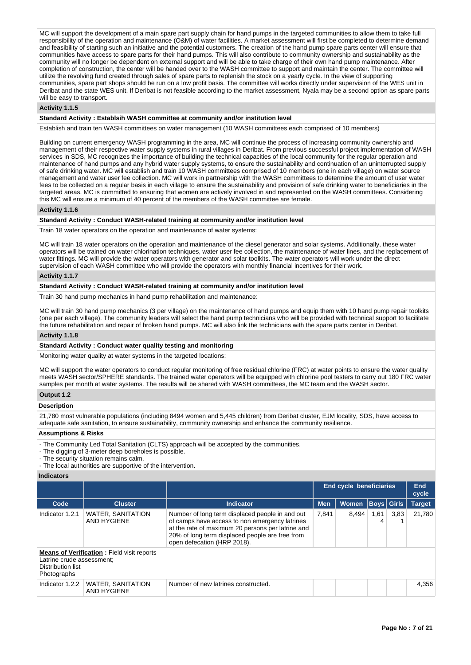MC will support the development of a main spare part supply chain for hand pumps in the targeted communities to allow them to take full responsibility of the operation and maintenance (O&M) of water facilities. A market assessment will first be completed to determine demand and feasibility of starting such an initiative and the potential customers. The creation of the hand pump spare parts center will ensure that communities have access to spare parts for their hand pumps. This will also contribute to community ownership and sustainability as the community will no longer be dependent on external support and will be able to take charge of their own hand pump maintenance. After completion of construction, the center will be handed over to the WASH committee to support and maintain the center. The committee will utilize the revolving fund created through sales of spare parts to replenish the stock on a yearly cycle. In the view of supporting communities, spare part shops should be run on a low profit basis. The committee will works directly under supervision of the WES unit in Deribat and the state WES unit. If Deribat is not feasible according to the market assessment, Nyala may be a second option as spare parts will be easy to transport.

#### **Activity 1.1.5**

## **Standard Activity : Establsih WASH committee at community and/or institution level**

Establish and train ten WASH committees on water management (10 WASH committees each comprised of 10 members)

Building on current emergency WASH programming in the area, MC will continue the process of increasing community ownership and management of their respective water supply systems in rural villages in Deribat. From previous successful project implementation of WASH services in SDS, MC recognizes the importance of building the technical capacities of the local community for the regular operation and maintenance of hand pumps and any hybrid water supply systems, to ensure the sustainability and continuation of an uninterrupted supply of safe drinking water. MC will establish and train 10 WASH committees comprised of 10 members (one in each village) on water source management and water user fee collection. MC will work in partnership with the WASH committees to determine the amount of user water fees to be collected on a regular basis in each village to ensure the sustainability and provision of safe drinking water to beneficiaries in the targeted areas. MC is committed to ensuring that women are actively involved in and represented on the WASH committees. Considering this MC will ensure a minimum of 40 percent of the members of the WASH committee are female.

#### **Activity 1.1.6**

## **Standard Activity : Conduct WASH-related training at community and/or institution level**

Train 18 water operators on the operation and maintenance of water systems:

MC will train 18 water operators on the operation and maintenance of the diesel generator and solar systems. Additionally, these water operators will be trained on water chlorination techniques, water user fee collection, the maintenance of water lines, and the replacement of water fittings. MC will provide the water operators with generator and solar toolkits. The water operators will work under the direct supervision of each WASH committee who will provide the operators with monthly financial incentives for their work.

#### **Activity 1.1.7**

#### **Standard Activity : Conduct WASH-related training at community and/or institution level**

Train 30 hand pump mechanics in hand pump rehabilitation and maintenance:

MC will train 30 hand pump mechanics (3 per village) on the maintenance of hand pumps and equip them with 10 hand pump repair toolkits (one per each village). The community leaders will select the hand pump technicians who will be provided with technical support to facilitate the future rehabilitation and repair of broken hand pumps. MC will also link the technicians with the spare parts center in Deribat.

## **Activity 1.1.8**

#### **Standard Activity : Conduct water quality testing and monitoring**

Monitoring water quality at water systems in the targeted locations:

MC will support the water operators to conduct regular monitoring of free residual chlorine (FRC) at water points to ensure the water quality meets WASH sector/SPHERE standards. The trained water operators will be equipped with chlorine pool testers to carry out 180 FRC water samples per month at water systems. The results will be shared with WASH committees, the MC team and the WASH sector.

## **Output 1.2**

#### **Description**

21,780 most vulnerable populations (including 8494 women and 5,445 children) from Deribat cluster, EJM locality, SDS, have access to adequate safe sanitation, to ensure sustainability, community ownership and enhance the community resilience.

## **Assumptions & Risks**

- The Community Led Total Sanitation (CLTS) approach will be accepted by the communities.

- The digging of 3-meter deep boreholes is possible.

- The security situation remains calm.

- The local authorities are supportive of the intervention.

## **Indicators**

|                                                                                                                    |                                         |                                                                                                                                                                                                                                          | End cycle beneficiaries |              |           | <b>End</b><br>cycle |               |
|--------------------------------------------------------------------------------------------------------------------|-----------------------------------------|------------------------------------------------------------------------------------------------------------------------------------------------------------------------------------------------------------------------------------------|-------------------------|--------------|-----------|---------------------|---------------|
| Code                                                                                                               | <b>Cluster</b>                          | <b>Indicator</b>                                                                                                                                                                                                                         | <b>Men</b>              | <b>Women</b> |           | <b>Boys Girls</b>   | <b>Target</b> |
| Indicator 1.2.1                                                                                                    | <b>WATER, SANITATION</b><br>AND HYGIENE | Number of long term displaced people in and out<br>of camps have access to non emergency latrines<br>at the rate of maximum 20 persons per latrine and<br>20% of long term displaced people are free from<br>open defecation (HRP 2018). | 7.841                   | 8.494        | 1,61<br>4 | 3,83                | 21.780        |
| <b>Means of Verification:</b> Field visit reports<br>Latrine crude assessment;<br>Distribution list<br>Photographs |                                         |                                                                                                                                                                                                                                          |                         |              |           |                     |               |
| Indicator 1.2.2                                                                                                    | <b>WATER, SANITATION</b><br>AND HYGIENE | Number of new latrines constructed.                                                                                                                                                                                                      |                         |              |           |                     | 4.356         |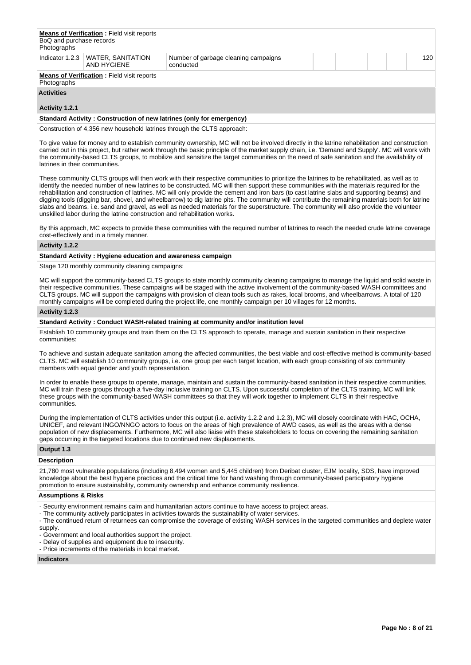| BoQ and purchase records<br>Photographs                          | <b>Means of Verification:</b> Field visit reports  |                                                   |  |  |  |  |     |
|------------------------------------------------------------------|----------------------------------------------------|---------------------------------------------------|--|--|--|--|-----|
|                                                                  | Indicator 1.2.3   WATER, SANITATION<br>AND HYGIENE | Number of garbage cleaning campaigns<br>conducted |  |  |  |  | 120 |
| <b>Means of Verification:</b> Field visit reports<br>Photographs |                                                    |                                                   |  |  |  |  |     |
| <b>Activities</b>                                                |                                                    |                                                   |  |  |  |  |     |

# **Activity 1.2.1**

#### **Standard Activity : Construction of new latrines (only for emergency)**

Construction of 4,356 new household latrines through the CLTS approach:

To give value for money and to establish community ownership, MC will not be involved directly in the latrine rehabilitation and construction carried out in this project, but rather work through the basic principle of the market supply chain, i.e. 'Demand and Supply'. MC will work with the community-based CLTS groups, to mobilize and sensitize the target communities on the need of safe sanitation and the availability of latrines in their communities.

These community CLTS groups will then work with their respective communities to prioritize the latrines to be rehabilitated, as well as to identify the needed number of new latrines to be constructed. MC will then support these communities with the materials required for the rehabilitation and construction of latrines. MC will only provide the cement and iron bars (to cast latrine slabs and supporting beams) and digging tools (digging bar, shovel, and wheelbarrow) to dig latrine pits. The community will contribute the remaining materials both for latrine slabs and beams, i.e. sand and gravel, as well as needed materials for the superstructure. The community will also provide the volunteer unskilled labor during the latrine construction and rehabilitation works.

By this approach, MC expects to provide these communities with the required number of latrines to reach the needed crude latrine coverage cost-effectively and in a timely manner.

#### **Activity 1.2.2**

## **Standard Activity : Hygiene education and awareness campaign**

Stage 120 monthly community cleaning campaigns:

MC will support the community-based CLTS groups to state monthly community cleaning campaigns to manage the liquid and solid waste in their respective communities. These campaigns will be staged with the active involvement of the community-based WASH committees and CLTS groups. MC will support the campaigns with provision of clean tools such as rakes, local brooms, and wheelbarrows. A total of 120 monthly campaigns will be completed during the project life, one monthly campaign per 10 villages for 12 months.

### **Activity 1.2.3**

#### **Standard Activity : Conduct WASH-related training at community and/or institution level**

Establish 10 community groups and train them on the CLTS approach to operate, manage and sustain sanitation in their respective communities:

To achieve and sustain adequate sanitation among the affected communities, the best viable and cost-effective method is community-based CLTS. MC will establish 10 community groups, i.e. one group per each target location, with each group consisting of six community members with equal gender and youth representation.

In order to enable these groups to operate, manage, maintain and sustain the community-based sanitation in their respective communities. MC will train these groups through a five-day inclusive training on CLTS. Upon successful completion of the CLTS training, MC will link these groups with the community-based WASH committees so that they will work together to implement CLTS in their respective communities.

During the implementation of CLTS activities under this output (i.e. activity 1.2.2 and 1.2.3), MC will closely coordinate with HAC, OCHA, UNICEF, and relevant INGO/NNGO actors to focus on the areas of high prevalence of AWD cases, as well as the areas with a dense population of new displacements. Furthermore, MC will also liaise with these stakeholders to focus on covering the remaining sanitation gaps occurring in the targeted locations due to continued new displacements.

## **Output 1.3**

## **Description**

21,780 most vulnerable populations (including 8,494 women and 5,445 children) from Deribat cluster, EJM locality, SDS, have improved knowledge about the best hygiene practices and the critical time for hand washing through community-based participatory hygiene promotion to ensure sustainability, community ownership and enhance community resilience.

#### **Assumptions & Risks**

- Security environment remains calm and humanitarian actors continue to have access to project areas.
- The community actively participates in activities towards the sustainability of water services.
- The continued return of returnees can compromise the coverage of existing WASH services in the targeted communities and deplete water

supply.

- Government and local authorities support the project.
- Delay of supplies and equipment due to insecurity.
- Price increments of the materials in local market.

## **Indicators**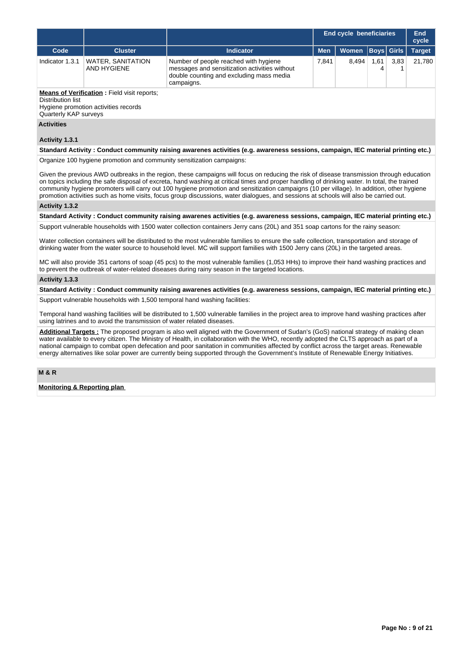|                                                                                                                                                                                                                                                                                                                                                                                                                                                                                                                                                                                  |                                                                       |                                                                                                                                                                                                                                                                                     |            | <b>End cycle beneficiaries</b> |              |              | <b>End</b><br>cycle |  |
|----------------------------------------------------------------------------------------------------------------------------------------------------------------------------------------------------------------------------------------------------------------------------------------------------------------------------------------------------------------------------------------------------------------------------------------------------------------------------------------------------------------------------------------------------------------------------------|-----------------------------------------------------------------------|-------------------------------------------------------------------------------------------------------------------------------------------------------------------------------------------------------------------------------------------------------------------------------------|------------|--------------------------------|--------------|--------------|---------------------|--|
| Code                                                                                                                                                                                                                                                                                                                                                                                                                                                                                                                                                                             | <b>Cluster</b>                                                        | <b>Indicator</b>                                                                                                                                                                                                                                                                    | <b>Men</b> | Women                          | $ $ Boys $ $ | <b>Girls</b> | <b>Target</b>       |  |
| Indicator 1.3.1                                                                                                                                                                                                                                                                                                                                                                                                                                                                                                                                                                  | <b>WATER, SANITATION</b><br><b>AND HYGIENE</b>                        | Number of people reached with hygiene<br>messages and sensitization activities without<br>double counting and excluding mass media<br>campaigns.                                                                                                                                    | 7,841      | 8,494                          | 1,61<br>4    | 3,83<br>1    | 21,780              |  |
| <b>Means of Verification : Field visit reports;</b><br><b>Distribution list</b><br>Hygiene promotion activities records<br>Quarterly KAP surveys                                                                                                                                                                                                                                                                                                                                                                                                                                 |                                                                       |                                                                                                                                                                                                                                                                                     |            |                                |              |              |                     |  |
| <b>Activities</b>                                                                                                                                                                                                                                                                                                                                                                                                                                                                                                                                                                |                                                                       |                                                                                                                                                                                                                                                                                     |            |                                |              |              |                     |  |
| Activity 1.3.1                                                                                                                                                                                                                                                                                                                                                                                                                                                                                                                                                                   |                                                                       | Standard Activity: Conduct community raising awarenes activities (e.g. awareness sessions, campaign, IEC material printing etc.)                                                                                                                                                    |            |                                |              |              |                     |  |
|                                                                                                                                                                                                                                                                                                                                                                                                                                                                                                                                                                                  | Organize 100 hygiene promotion and community sensitization campaigns: |                                                                                                                                                                                                                                                                                     |            |                                |              |              |                     |  |
| Given the previous AWD outbreaks in the region, these campaigns will focus on reducing the risk of disease transmission through education<br>on topics including the safe disposal of excreta, hand washing at critical times and proper handling of drinking water. In total, the trained<br>community hygiene promoters will carry out 100 hygiene promotion and sensitization campaigns (10 per village). In addition, other hygiene<br>promotion activities such as home visits, focus group discussions, water dialogues, and sessions at schools will also be carried out. |                                                                       |                                                                                                                                                                                                                                                                                     |            |                                |              |              |                     |  |
| Activity 1.3.2                                                                                                                                                                                                                                                                                                                                                                                                                                                                                                                                                                   |                                                                       |                                                                                                                                                                                                                                                                                     |            |                                |              |              |                     |  |
|                                                                                                                                                                                                                                                                                                                                                                                                                                                                                                                                                                                  |                                                                       | Standard Activity: Conduct community raising awarenes activities (e.g. awareness sessions, campaign, IEC material printing etc.)                                                                                                                                                    |            |                                |              |              |                     |  |
|                                                                                                                                                                                                                                                                                                                                                                                                                                                                                                                                                                                  |                                                                       | Support vulnerable households with 1500 water collection containers Jerry cans (20L) and 351 soap cartons for the rainy season:                                                                                                                                                     |            |                                |              |              |                     |  |
|                                                                                                                                                                                                                                                                                                                                                                                                                                                                                                                                                                                  |                                                                       | Water collection containers will be distributed to the most vulnerable families to ensure the safe collection, transportation and storage of<br>drinking water from the water source to household level. MC will support families with 1500 Jerry cans (20L) in the targeted areas. |            |                                |              |              |                     |  |
|                                                                                                                                                                                                                                                                                                                                                                                                                                                                                                                                                                                  |                                                                       | MC will also provide 351 cartons of soap (45 pcs) to the most vulnerable families (1,053 HHs) to improve their hand washing practices and<br>to prevent the outbreak of water-related diseases during rainy season in the targeted locations.                                       |            |                                |              |              |                     |  |
| Activity 1.3.3                                                                                                                                                                                                                                                                                                                                                                                                                                                                                                                                                                   |                                                                       |                                                                                                                                                                                                                                                                                     |            |                                |              |              |                     |  |
|                                                                                                                                                                                                                                                                                                                                                                                                                                                                                                                                                                                  |                                                                       | Standard Activity: Conduct community raising awarenes activities (e.g. awareness sessions, campaign, IEC material printing etc.)                                                                                                                                                    |            |                                |              |              |                     |  |
|                                                                                                                                                                                                                                                                                                                                                                                                                                                                                                                                                                                  |                                                                       | Support vulnerable households with 1,500 temporal hand washing facilities:                                                                                                                                                                                                          |            |                                |              |              |                     |  |
| Temporal hand washing facilities will be distributed to 1,500 vulnerable families in the project area to improve hand washing practices after<br>using latrines and to avoid the transmission of water related diseases.                                                                                                                                                                                                                                                                                                                                                         |                                                                       |                                                                                                                                                                                                                                                                                     |            |                                |              |              |                     |  |
| Additional Targets: The proposed program is also well aligned with the Government of Sudan's (GoS) national strategy of making clean<br>water available to every citizen. The Ministry of Health, in collaboration with the WHO, recently adopted the CLTS approach as part of a<br>national campaign to combat open defecation and poor sanitation in communities affected by conflict across the target areas. Renewable<br>energy alternatives like solar power are currently being supported through the Government's Institute of Renewable Energy Initiatives.             |                                                                       |                                                                                                                                                                                                                                                                                     |            |                                |              |              |                     |  |
| <b>M &amp; R</b>                                                                                                                                                                                                                                                                                                                                                                                                                                                                                                                                                                 |                                                                       |                                                                                                                                                                                                                                                                                     |            |                                |              |              |                     |  |

**Monitoring & Reporting plan**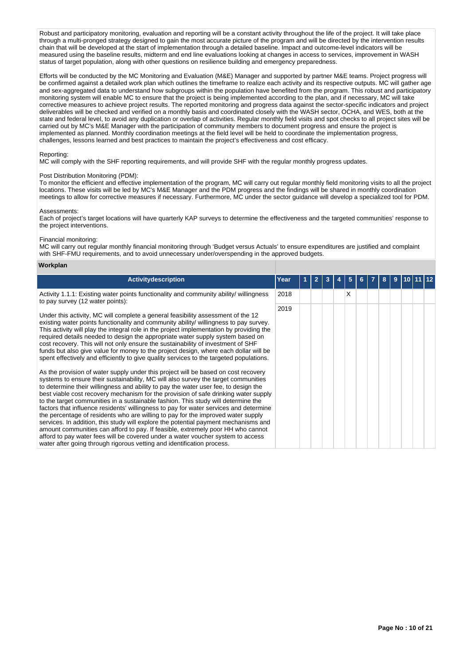Robust and participatory monitoring, evaluation and reporting will be a constant activity throughout the life of the project. It will take place through a multi-pronged strategy designed to gain the most accurate picture of the program and will be directed by the intervention results chain that will be developed at the start of implementation through a detailed baseline. Impact and outcome-level indicators will be measured using the baseline results, midterm and end line evaluations looking at changes in access to services, improvement in WASH status of target population, along with other questions on resilience building and emergency preparedness.

Efforts will be conducted by the MC Monitoring and Evaluation (M&E) Manager and supported by partner M&E teams. Project progress will be confirmed against a detailed work plan which outlines the timeframe to realize each activity and its respective outputs. MC will gather age and sex-aggregated data to understand how subgroups within the population have benefited from the program. This robust and participatory monitoring system will enable MC to ensure that the project is being implemented according to the plan, and if necessary, MC will take corrective measures to achieve project results. The reported monitoring and progress data against the sector-specific indicators and project deliverables will be checked and verified on a monthly basis and coordinated closely with the WASH sector, OCHA, and WES, both at the state and federal level, to avoid any duplication or overlap of activities. Regular monthly field visits and spot checks to all project sites will be carried out by MC's M&E Manager with the participation of community members to document progress and ensure the project is implemented as planned. Monthly coordination meetings at the field level will be held to coordinate the implementation progress, challenges, lessons learned and best practices to maintain the project's effectiveness and cost efficacy.

#### Reporting:

MC will comply with the SHF reporting requirements, and will provide SHF with the regular monthly progress updates.

## Post Distribution Monitoring (PDM):

To monitor the efficient and effective implementation of the program, MC will carry out regular monthly field monitoring visits to all the project locations. These visits will be led by MC's M&E Manager and the PDM progress and the findings will be shared in monthly coordination meetings to allow for corrective measures if necessary. Furthermore, MC under the sector guidance will develop a specialized tool for PDM.

#### Assessments:

Each of project's target locations will have quarterly KAP surveys to determine the effectiveness and the targeted communities' response to the project interventions.

#### Financial monitoring:

MC will carry out regular monthly financial monitoring through 'Budget versus Actuals' to ensure expenditures are justified and complaint with SHF-FMU requirements, and to avoid unnecessary under/overspending in the approved budgets.

#### **Workplan**

| <b>Activitydescription</b>                                                                                                                                                                                                                                                                                                                                                                                                                                                                                                                                                                                                                                                                                                                                                                                                                                                                                                                                      | Year | 2 | 3 | 5 | 6. | 8 | 9 |  |  |
|-----------------------------------------------------------------------------------------------------------------------------------------------------------------------------------------------------------------------------------------------------------------------------------------------------------------------------------------------------------------------------------------------------------------------------------------------------------------------------------------------------------------------------------------------------------------------------------------------------------------------------------------------------------------------------------------------------------------------------------------------------------------------------------------------------------------------------------------------------------------------------------------------------------------------------------------------------------------|------|---|---|---|----|---|---|--|--|
| Activity 1.1.1: Existing water points functionality and community ability/ willingness<br>to pay survey (12 water points):                                                                                                                                                                                                                                                                                                                                                                                                                                                                                                                                                                                                                                                                                                                                                                                                                                      | 2018 |   |   | x |    |   |   |  |  |
| Under this activity, MC will complete a general feasibility assessment of the 12<br>existing water points functionality and community ability/ willingness to pay survey.<br>This activity will play the integral role in the project implementation by providing the<br>required details needed to design the appropriate water supply system based on<br>cost recovery. This will not only ensure the sustainability of investment of SHF<br>funds but also give value for money to the project design, where each dollar will be<br>spent effectively and efficiently to give quality services to the targeted populations.                                                                                                                                                                                                                                                                                                                                  | 2019 |   |   |   |    |   |   |  |  |
| As the provision of water supply under this project will be based on cost recovery<br>systems to ensure their sustainability, MC will also survey the target communities<br>to determine their willingness and ability to pay the water user fee, to design the<br>best viable cost recovery mechanism for the provision of safe drinking water supply<br>to the target communities in a sustainable fashion. This study will determine the<br>factors that influence residents' willingness to pay for water services and determine<br>the percentage of residents who are willing to pay for the improved water supply<br>services. In addition, this study will explore the potential payment mechanisms and<br>amount communities can afford to pay. If feasible, extremely poor HH who cannot<br>afford to pay water fees will be covered under a water voucher system to access<br>water after going through rigorous vetting and identification process. |      |   |   |   |    |   |   |  |  |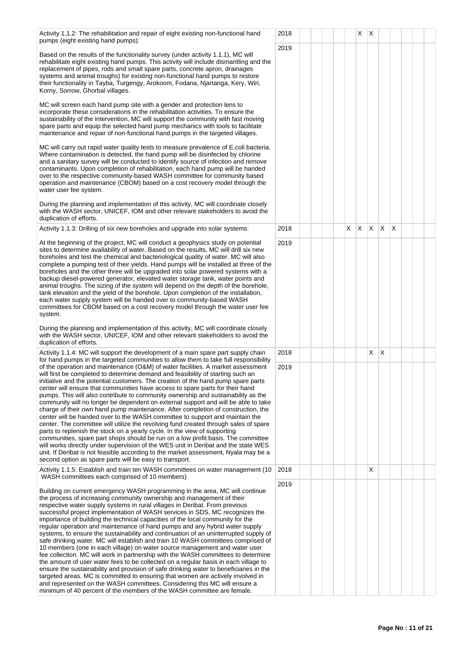Activity 1.1.2: The rehabilitation and repair of eight existing non-functional hand pumps (eight existing hand pumps): Based on the results of the functionality survey (under activity 1.1.1), MC will rehabilitate eight existing hand pumps. This activity will include dismantling and the replacement of pipes, rods and small spare parts, concrete apron, drainages systems and animal troughs) for existing non-functional hand pumps to restore their functionality in Tayba, Turgengy, Arokoom, Fodana, Njartanga, Kery, Wiri, Korny, Sorrow, Ghorbal villages. MC will screen each hand pump site with a gender and protection lens to incorporate these considerations in the rehabilitation activities. To ensure the sustainability of the intervention, MC will support the community with fast moving spare parts and equip the selected hand pump mechanics with tools to facilitate maintenance and repair of non-functional hand pumps in the targeted villages. MC will carry out rapid water quality tests to measure prevalence of E.coli bacteria. Where contamination is detected, the hand pump will be disinfected by chlorine and a sanitary survey will be conducted to identify source of infection and remove contaminants. Upon completion of rehabilitation, each hand pump will be handed over to the respective community-based WASH committee for community based operation and maintenance (CBOM) based on a cost recovery model through the water user fee system. During the planning and implementation of this activity, MC will coordinate closely with the WASH sector, UNICEF, IOM and other relevant stakeholders to avoid the duplication of efforts.  $2018$   $\vert$   $\vert$   $\vert$   $\vert$   $\vert$   $\times$   $\vert$   $\times$ 2019 Activity 1.1.3: Drilling of six new boreholes and upgrade into solar systems: At the beginning of the project, MC will conduct a geophysics study on potential sites to determine availability of water. Based on the results, MC will drill six new boreholes and test the chemical and bacteriological quality of water. MC will also complete a pumping test of their yields. Hand pumps will be installed at three of the boreholes and the other three will be upgraded into solar powered systems with a backup diesel-powered generator, elevated water storage tank, water points and animal troughs. The sizing of the system will depend on the depth of the borehole, tank elevation and the yield of the borehole. Upon completion of the installation, each water supply system will be handed over to community-based WASH committees for CBOM based on a cost recovery model through the water user fee system. During the planning and implementation of this activity, MC will coordinate closely with the WASH sector, UNICEF, IOM and other relevant stakeholders to avoid the duplication of efforts. 2018 X X X X X 2019 Activity 1.1.4: MC will support the development of a main spare part supply chain for hand pumps in the targeted communities to allow them to take full responsibility of the operation and maintenance (O&M) of water facilities. A market assessment will first be completed to determine demand and feasibility of starting such an initiative and the potential customers. The creation of the hand pump spare parts center will ensure that communities have access to spare parts for their hand pumps. This will also contribute to community ownership and sustainability as the community will no longer be dependent on external support and will be able to take charge of their own hand pump maintenance. After completion of construction, the center will be handed over to the WASH committee to support and maintain the center. The committee will utilize the revolving fund created through sales of spare parts to replenish the stock on a yearly cycle. In the view of supporting communities, spare part shops should be run on a low profit basis. The committee will works directly under supervision of the WES unit in Deribat and the state WES unit. If Deribat is not feasible according to the market assessment, Nyala may be a second option as spare parts will be easy to transport.  $2018$   $\vert$   $\vert$   $\vert$   $\vert$   $\vert$   $\vert$   $\times$   $\times$ 2019 Activity 1.1.5: Establish and train ten WASH committees on water management (10 | 2018 | | | | | | | | | | | X WASH committees each comprised of 10 members) Building on current emergency WASH programming in the area, MC will continue the process of increasing community ownership and management of their respective water supply systems in rural villages in Deribat. From previous successful project implementation of WASH services in SDS, MC recognizes the importance of building the technical capacities of the local community for the regular operation and maintenance of hand pumps and any hybrid water supply systems, to ensure the sustainability and continuation of an uninterrupted supply of safe drinking water. MC will establish and train 10 WASH committees comprised of 10 members (one in each village) on water source management and water user fee collection. MC will work in partnership with the WASH committees to determine the amount of user water fees to be collected on a regular basis in each village to ensure the sustainability and provision of safe drinking water to beneficiaries in the targeted areas. MC is committed to ensuring that women are actively involved in and represented on the WASH committees. Considering this MC will ensure a minimum of 40 percent of the members of the WASH committee are female. 2019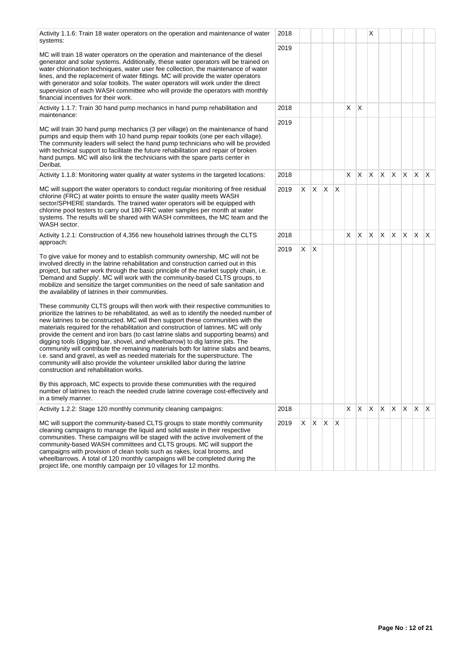project life, one monthly campaign per 10 villages for 12 months.

| Activity 1.1.6: Train 18 water operators on the operation and maintenance of water<br>systems:                                                                                                                                                                                                                                                                                                                                                                                                                                                                                                                                                                                                                                                                                                                                 | 2018 |   |              |    |    |    |              | Х  |    |   |              |    |              |
|--------------------------------------------------------------------------------------------------------------------------------------------------------------------------------------------------------------------------------------------------------------------------------------------------------------------------------------------------------------------------------------------------------------------------------------------------------------------------------------------------------------------------------------------------------------------------------------------------------------------------------------------------------------------------------------------------------------------------------------------------------------------------------------------------------------------------------|------|---|--------------|----|----|----|--------------|----|----|---|--------------|----|--------------|
| MC will train 18 water operators on the operation and maintenance of the diesel<br>generator and solar systems. Additionally, these water operators will be trained on<br>water chlorination techniques, water user fee collection, the maintenance of water<br>lines, and the replacement of water fittings. MC will provide the water operators<br>with generator and solar toolkits. The water operators will work under the direct<br>supervision of each WASH committee who will provide the operators with monthly<br>financial incentives for their work.                                                                                                                                                                                                                                                               | 2019 |   |              |    |    |    |              |    |    |   |              |    |              |
| Activity 1.1.7: Train 30 hand pump mechanics in hand pump rehabilitation and<br>maintenance:                                                                                                                                                                                                                                                                                                                                                                                                                                                                                                                                                                                                                                                                                                                                   | 2018 |   |              |    |    | X  | $\mathsf{X}$ |    |    |   |              |    |              |
| MC will train 30 hand pump mechanics (3 per village) on the maintenance of hand<br>pumps and equip them with 10 hand pump repair toolkits (one per each village).<br>The community leaders will select the hand pump technicians who will be provided<br>with technical support to facilitate the future rehabilitation and repair of broken<br>hand pumps. MC will also link the technicians with the spare parts center in<br>Deribat.                                                                                                                                                                                                                                                                                                                                                                                       | 2019 |   |              |    |    |    |              |    |    |   |              |    |              |
| Activity 1.1.8: Monitoring water quality at water systems in the targeted locations:                                                                                                                                                                                                                                                                                                                                                                                                                                                                                                                                                                                                                                                                                                                                           | 2018 |   |              |    |    | X  | $\mathsf{X}$ | X  | X  | X | $\mathsf{X}$ | X  | <sup>X</sup> |
| MC will support the water operators to conduct regular monitoring of free residual<br>chlorine (FRC) at water points to ensure the water quality meets WASH<br>sector/SPHERE standards. The trained water operators will be equipped with<br>chlorine pool testers to carry out 180 FRC water samples per month at water<br>systems. The results will be shared with WASH committees, the MC team and the<br>WASH sector.                                                                                                                                                                                                                                                                                                                                                                                                      | 2019 |   | $X \mid X$   | X. | X. |    |              |    |    |   |              |    |              |
| Activity 1.2.1: Construction of 4,356 new household latrines through the CLTS<br>approach:                                                                                                                                                                                                                                                                                                                                                                                                                                                                                                                                                                                                                                                                                                                                     | 2018 |   |              |    |    | X. | X.           | X. | X. | X | IX.          | X. | ΙX.          |
| To give value for money and to establish community ownership, MC will not be<br>involved directly in the latrine rehabilitation and construction carried out in this<br>project, but rather work through the basic principle of the market supply chain, i.e.<br>'Demand and Supply'. MC will work with the community-based CLTS groups, to<br>mobilize and sensitize the target communities on the need of safe sanitation and<br>the availability of latrines in their communities.                                                                                                                                                                                                                                                                                                                                          | 2019 | X | $\mathsf{X}$ |    |    |    |              |    |    |   |              |    |              |
| These community CLTS groups will then work with their respective communities to<br>prioritize the latrines to be rehabilitated, as well as to identify the needed number of<br>new latrines to be constructed. MC will then support these communities with the<br>materials required for the rehabilitation and construction of latrines. MC will only<br>provide the cement and iron bars (to cast latrine slabs and supporting beams) and<br>digging tools (digging bar, shovel, and wheelbarrow) to dig latrine pits. The<br>community will contribute the remaining materials both for latrine slabs and beams,<br>i.e. sand and gravel, as well as needed materials for the superstructure. The<br>community will also provide the volunteer unskilled labor during the latrine<br>construction and rehabilitation works. |      |   |              |    |    |    |              |    |    |   |              |    |              |
| By this approach, MC expects to provide these communities with the required<br>number of latrines to reach the needed crude latrine coverage cost-effectively and<br>in a timely manner.                                                                                                                                                                                                                                                                                                                                                                                                                                                                                                                                                                                                                                       |      |   |              |    |    |    |              |    |    |   |              |    |              |
| Activity 1.2.2: Stage 120 monthly community cleaning campaigns:                                                                                                                                                                                                                                                                                                                                                                                                                                                                                                                                                                                                                                                                                                                                                                | 2018 |   |              |    |    | X  | X.           | X  | X. | X | X.           | X  | ΙX.          |
| MC will support the community-based CLTS groups to state monthly community<br>cleaning campaigns to manage the liquid and solid waste in their respective<br>communities. These campaigns will be staged with the active involvement of the<br>community-based WASH committees and CLTS groups. MC will support the<br>campaigns with provision of clean tools such as rakes, local brooms, and<br>wheelbarrows. A total of 120 monthly campaigns will be completed during the<br>project life, one monthly campaign per 10 villages for 12 months                                                                                                                                                                                                                                                                             | 2019 | X | X.           | X  | X  |    |              |    |    |   |              |    |              |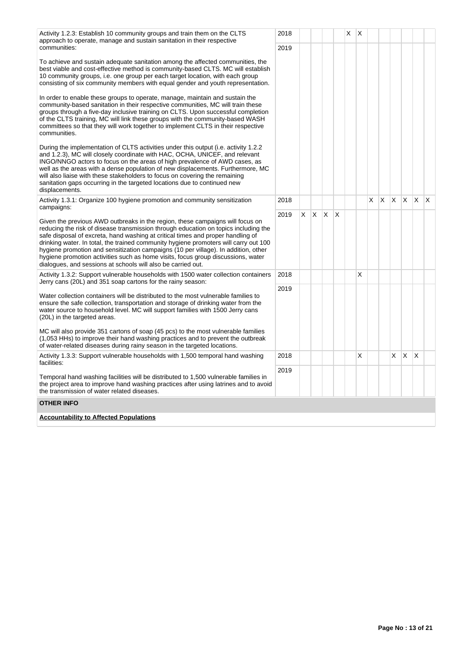|                                                                                                                                                                                                                                                                                                                                                                                                                                                                                                                                                                                           | 2018 |    |              |     |          |   |   |   |   |          |    |          |     |
|-------------------------------------------------------------------------------------------------------------------------------------------------------------------------------------------------------------------------------------------------------------------------------------------------------------------------------------------------------------------------------------------------------------------------------------------------------------------------------------------------------------------------------------------------------------------------------------------|------|----|--------------|-----|----------|---|---|---|---|----------|----|----------|-----|
| Activity 1.2.3: Establish 10 community groups and train them on the CLTS<br>approach to operate, manage and sustain sanitation in their respective<br>communities:                                                                                                                                                                                                                                                                                                                                                                                                                        |      |    |              |     |          | Χ | Х |   |   |          |    |          |     |
|                                                                                                                                                                                                                                                                                                                                                                                                                                                                                                                                                                                           | 2019 |    |              |     |          |   |   |   |   |          |    |          |     |
| To achieve and sustain adequate sanitation among the affected communities, the<br>best viable and cost-effective method is community-based CLTS. MC will establish<br>10 community groups, i.e. one group per each target location, with each group<br>consisting of six community members with equal gender and youth representation.                                                                                                                                                                                                                                                    |      |    |              |     |          |   |   |   |   |          |    |          |     |
| In order to enable these groups to operate, manage, maintain and sustain the<br>community-based sanitation in their respective communities, MC will train these<br>groups through a five-day inclusive training on CLTS. Upon successful completion<br>of the CLTS training, MC will link these groups with the community-based WASH<br>committees so that they will work together to implement CLTS in their respective<br>communities.                                                                                                                                                  |      |    |              |     |          |   |   |   |   |          |    |          |     |
| During the implementation of CLTS activities under this output (i.e. activity 1.2.2)<br>and 1.2.3), MC will closely coordinate with HAC, OCHA, UNICEF, and relevant<br>INGO/NNGO actors to focus on the areas of high prevalence of AWD cases, as<br>well as the areas with a dense population of new displacements. Furthermore, MC<br>will also liaise with these stakeholders to focus on covering the remaining<br>sanitation gaps occurring in the targeted locations due to continued new<br>displacements.                                                                         |      |    |              |     |          |   |   |   |   |          |    |          |     |
| Activity 1.3.1: Organize 100 hygiene promotion and community sensitization                                                                                                                                                                                                                                                                                                                                                                                                                                                                                                                | 2018 |    |              |     |          |   |   | X | X | <b>X</b> | X. | X.       | ΙX. |
| campaigns:                                                                                                                                                                                                                                                                                                                                                                                                                                                                                                                                                                                | 2019 | X. | $\mathsf{X}$ | IX. | $\times$ |   |   |   |   |          |    |          |     |
| Given the previous AWD outbreaks in the region, these campaigns will focus on<br>reducing the risk of disease transmission through education on topics including the<br>safe disposal of excreta, hand washing at critical times and proper handling of<br>drinking water. In total, the trained community hygiene promoters will carry out 100<br>hygiene promotion and sensitization campaigns (10 per village). In addition, other<br>hygiene promotion activities such as home visits, focus group discussions, water<br>dialogues, and sessions at schools will also be carried out. |      |    |              |     |          |   |   |   |   |          |    |          |     |
| Activity 1.3.2: Support vulnerable households with 1500 water collection containers<br>Jerry cans (20L) and 351 soap cartons for the rainy season:                                                                                                                                                                                                                                                                                                                                                                                                                                        | 2018 |    |              |     |          |   | X |   |   |          |    |          |     |
| Water collection containers will be distributed to the most vulnerable families to<br>ensure the safe collection, transportation and storage of drinking water from the<br>water source to household level. MC will support families with 1500 Jerry cans<br>(20L) in the targeted areas.                                                                                                                                                                                                                                                                                                 | 2019 |    |              |     |          |   |   |   |   |          |    |          |     |
| MC will also provide 351 cartons of soap (45 pcs) to the most vulnerable families<br>(1,053 HHs) to improve their hand washing practices and to prevent the outbreak<br>of water-related diseases during rainy season in the targeted locations.                                                                                                                                                                                                                                                                                                                                          |      |    |              |     |          |   |   |   |   |          |    |          |     |
| Activity 1.3.3: Support vulnerable households with 1,500 temporal hand washing<br>facilities:                                                                                                                                                                                                                                                                                                                                                                                                                                                                                             | 2018 |    |              |     |          |   | X |   |   | X        | X  | $\times$ |     |
| Temporal hand washing facilities will be distributed to 1,500 vulnerable families in<br>the project area to improve hand washing practices after using latrines and to avoid<br>the transmission of water related diseases.                                                                                                                                                                                                                                                                                                                                                               | 2019 |    |              |     |          |   |   |   |   |          |    |          |     |
| <b>OTHER INFO</b>                                                                                                                                                                                                                                                                                                                                                                                                                                                                                                                                                                         |      |    |              |     |          |   |   |   |   |          |    |          |     |
| <b>Accountability to Affected Populations</b>                                                                                                                                                                                                                                                                                                                                                                                                                                                                                                                                             |      |    |              |     |          |   |   |   |   |          |    |          |     |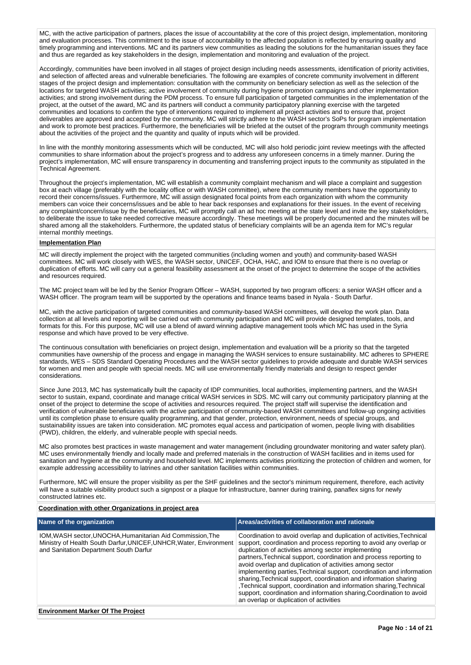MC, with the active participation of partners, places the issue of accountability at the core of this project design, implementation, monitoring and evaluation processes. This commitment to the issue of accountability to the affected population is reflected by ensuring quality and timely programming and interventions. MC and its partners view communities as leading the solutions for the humanitarian issues they face and thus are regarded as key stakeholders in the design, implementation and monitoring and evaluation of the project.

Accordingly, communities have been involved in all stages of project design including needs assessments, identification of priority activities, and selection of affected areas and vulnerable beneficiaries. The following are examples of concrete community involvement in different stages of the project design and implementation: consultation with the community on beneficiary selection as well as the selection of the locations for targeted WASH activities; active involvement of community during hygiene promotion campaigns and other implementation activities; and strong involvement during the PDM process. To ensure full participation of targeted communities in the implementation of the project, at the outset of the award, MC and its partners will conduct a community participatory planning exercise with the targeted communities and locations to confirm the type of interventions required to implement all project activities and to ensure that, project deliverables are approved and accepted by the community. MC will strictly adhere to the WASH sector's SoPs for program implementation and work to promote best practices. Furthermore, the beneficiaries will be briefed at the outset of the program through community meetings about the activities of the project and the quantity and quality of inputs which will be provided.

In line with the monthly monitoring assessments which will be conducted, MC will also hold periodic joint review meetings with the affected communities to share information about the project's progress and to address any unforeseen concerns in a timely manner. During the project's implementation, MC will ensure transparency in documenting and transferring project inputs to the community as stipulated in the Technical Agreement.

Throughout the project's implementation, MC will establish a community complaint mechanism and will place a complaint and suggestion box at each village (preferably with the locality office or with WASH committee), where the community members have the opportunity to record their concerns/issues. Furthermore, MC will assign designated focal points from each organization with whom the community members can voice their concerns/issues and be able to hear back responses and explanations for their issues. In the event of receiving any complaint/concern/issue by the beneficiaries, MC will promptly call an ad hoc meeting at the state level and invite the key stakeholders, to deliberate the issue to take needed corrective measure accordingly. These meetings will be properly documented and the minutes will be shared among all the stakeholders. Furthermore, the updated status of beneficiary complaints will be an agenda item for MC's regular internal monthly meetings.

#### **Implementation Plan**

MC will directly implement the project with the targeted communities (including women and youth) and community-based WASH committees. MC will work closely with WES, the WASH sector, UNICEF, OCHA, HAC, and IOM to ensure that there is no overlap or duplication of efforts. MC will carry out a general feasibility assessment at the onset of the project to determine the scope of the activities and resources required.

The MC project team will be led by the Senior Program Officer – WASH, supported by two program officers: a senior WASH officer and a WASH officer. The program team will be supported by the operations and finance teams based in Nyala - South Darfur.

MC, with the active participation of targeted communities and community-based WASH committees, will develop the work plan. Data collection at all levels and reporting will be carried out with community participation and MC will provide designed templates, tools, and formats for this. For this purpose, MC will use a blend of award winning adaptive management tools which MC has used in the Syria response and which have proved to be very effective.

The continuous consultation with beneficiaries on project design, implementation and evaluation will be a priority so that the targeted communities have ownership of the process and engage in managing the WASH services to ensure sustainability. MC adheres to SPHERE standards, WES – SDS Standard Operating Procedures and the WASH sector guidelines to provide adequate and durable WASH services for women and men and people with special needs. MC will use environmentally friendly materials and design to respect gender considerations.

Since June 2013, MC has systematically built the capacity of IDP communities, local authorities, implementing partners, and the WASH sector to sustain, expand, coordinate and manage critical WASH services in SDS. MC will carry out community participatory planning at the onset of the project to determine the scope of activities and resources required. The project staff will supervise the identification and verification of vulnerable beneficiaries with the active participation of community-based WASH committees and follow-up ongoing activities until its completion phase to ensure quality programming, and that gender, protection, environment, needs of special groups, and sustainability issues are taken into consideration. MC promotes equal access and participation of women, people living with disabilities (PWD), children, the elderly, and vulnerable people with special needs.

MC also promotes best practices in waste management and water management (including groundwater monitoring and water safety plan). MC uses environmentally friendly and locally made and preferred materials in the construction of WASH facilities and in items used for sanitation and hygiene at the community and household level. MC implements activities prioritizing the protection of children and women, for example addressing accessibility to latrines and other sanitation facilities within communities.

Furthermore, MC will ensure the proper visibility as per the SHF guidelines and the sector's minimum requirement, therefore, each activity will have a suitable visibility product such a signpost or a plaque for infrastructure, banner during training, panaflex signs for newly constructed latrines etc.

## **Coordination with other Organizations in project area**

| IOM, WASH sector, UNOCHA, Humanitarian Aid Commission, The<br>Coordination to avoid overlap and duplication of activities, Technical<br>Ministry of Health South Darfur, UNICEF, UNHCR, Water, Environment<br>support, coordination and process reporting to avoid any overlap or<br>duplication of activities among sector implementing<br>and Sanitation Department South Darfur<br>partners, Technical support, coordination and process reporting to<br>avoid overlap and duplication of activities among sector<br>sharing, Technical support, coordination and information sharing<br>Technical support, coordination and information sharing, Technical<br>support, coordination and information sharing, Coordination to avoid | Name of the organization | Areas/activities of collaboration and rationale                                                                  |
|----------------------------------------------------------------------------------------------------------------------------------------------------------------------------------------------------------------------------------------------------------------------------------------------------------------------------------------------------------------------------------------------------------------------------------------------------------------------------------------------------------------------------------------------------------------------------------------------------------------------------------------------------------------------------------------------------------------------------------------|--------------------------|------------------------------------------------------------------------------------------------------------------|
|                                                                                                                                                                                                                                                                                                                                                                                                                                                                                                                                                                                                                                                                                                                                        |                          | implementing parties, Technical support, coordination and information<br>an overlap or duplication of activities |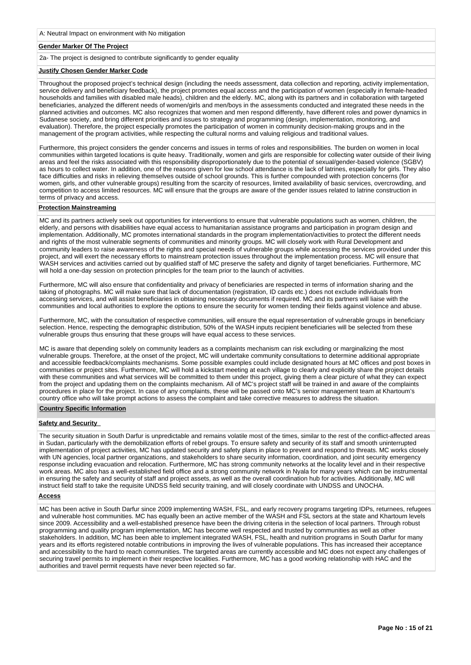## **Gender Marker Of The Project**

2a- The project is designed to contribute significantly to gender equality

## **Justify Chosen Gender Marker Code**

Throughout the proposed project's technical design (including the needs assessment, data collection and reporting, activity implementation, service delivery and beneficiary feedback), the project promotes equal access and the participation of women (especially in female-headed households and families with disabled male heads), children and the elderly. MC, along with its partners and in collaboration with targeted beneficiaries, analyzed the different needs of women/girls and men/boys in the assessments conducted and integrated these needs in the planned activities and outcomes. MC also recognizes that women and men respond differently, have different roles and power dynamics in Sudanese society, and bring different priorities and issues to strategy and programming (design, implementation, monitoring, and evaluation). Therefore, the project especially promotes the participation of women in community decision-making groups and in the management of the program activities, while respecting the cultural norms and valuing religious and traditional values.

Furthermore, this project considers the gender concerns and issues in terms of roles and responsibilities. The burden on women in local communities within targeted locations is quite heavy. Traditionally, women and girls are responsible for collecting water outside of their living areas and feel the risks associated with this responsibility disproportionately due to the potential of sexual/gender-based violence (SGBV) as hours to collect water. In addition, one of the reasons given for low school attendance is the lack of latrines, especially for girls. They also face difficulties and risks in relieving themselves outside of school grounds. This is further compounded with protection concerns (for women, girls, and other vulnerable groups) resulting from the scarcity of resources, limited availability of basic services, overcrowding, and competition to access limited resources. MC will ensure that the groups are aware of the gender issues related to latrine construction in terms of privacy and access.

## **Protection Mainstreaming**

MC and its partners actively seek out opportunities for interventions to ensure that vulnerable populations such as women, children, the elderly, and persons with disabilities have equal access to humanitarian assistance programs and participation in program design and implementation. Additionally, MC promotes international standards in the program implementation/activities to protect the different needs and rights of the most vulnerable segments of communities and minority groups. MC will closely work with Rural Development and community leaders to raise awareness of the rights and special needs of vulnerable groups while accessing the services provided under this project, and will exert the necessary efforts to mainstream protection issues throughout the implementation process. MC will ensure that WASH services and activities carried out by qualified staff of MC preserve the safety and dignity of target beneficiaries. Furthermore, MC will hold a one-day session on protection principles for the team prior to the launch of activities.

Furthermore, MC will also ensure that confidentiality and privacy of beneficiaries are respected in terms of information sharing and the taking of photographs. MC will make sure that lack of documentation (registration, ID cards etc.) does not exclude individuals from accessing services, and will assist beneficiaries in obtaining necessary documents if required. MC and its partners will liaise with the communities and local authorities to explore the options to ensure the security for women tending their fields against violence and abuse.

Furthermore, MC, with the consultation of respective communities, will ensure the equal representation of vulnerable groups in beneficiary selection. Hence, respecting the demographic distribution, 50% of the WASH inputs recipient beneficiaries will be selected from these vulnerable groups thus ensuring that these groups will have equal access to these services.

MC is aware that depending solely on community leaders as a complaints mechanism can risk excluding or marginalizing the most vulnerable groups. Therefore, at the onset of the project, MC will undertake community consultations to determine additional appropriate and accessible feedback/complaints mechanisms. Some possible examples could include designated hours at MC offices and post boxes in communities or project sites. Furthermore, MC will hold a kickstart meeting at each village to clearly and explicitly share the project details with these communities and what services will be committed to them under this project, giving them a clear picture of what they can expect from the project and updating them on the complaints mechanism. All of MC's project staff will be trained in and aware of the complaints procedures in place for the project. In case of any complaints, these will be passed onto MC's senior management team at Khartoum's country office who will take prompt actions to assess the complaint and take corrective measures to address the situation.

# **Country Specific Information**

## **Safety and Security**

The security situation in South Darfur is unpredictable and remains volatile most of the times, similar to the rest of the conflict-affected areas in Sudan, particularly with the demobilization efforts of rebel groups. To ensure safety and security of its staff and smooth uninterrupted implementation of project activities, MC has updated security and safety plans in place to prevent and respond to threats. MC works closely with UN agencies, local partner organizations, and stakeholders to share security information, coordination, and joint security emergency response including evacuation and relocation. Furthermore, MC has strong community networks at the locality level and in their respective work areas. MC also has a well-established field office and a strong community network in Nyala for many years which can be instrumental in ensuring the safety and security of staff and project assets, as well as the overall coordination hub for activities. Additionally, MC will instruct field staff to take the requisite UNDSS field security training, and will closely coordinate with UNDSS and UNOCHA.

## **Access**

MC has been active in South Darfur since 2009 implementing WASH, FSL, and early recovery programs targeting IDPs, returnees, refugees and vulnerable host communities. MC has equally been an active member of the WASH and FSL sectors at the state and Khartoum levels since 2009. Accessibility and a well-established presence have been the driving criteria in the selection of local partners. Through robust programming and quality program implementation, MC has become well respected and trusted by communities as well as other stakeholders. In addition, MC has been able to implement integrated WASH, FSL, health and nutrition programs in South Darfur for many years and its efforts registered notable contributions in improving the lives of vulnerable populations. This has increased their acceptance and accessibility to the hard to reach communities. The targeted areas are currently accessible and MC does not expect any challenges of securing travel permits to implement in their respective localities. Furthermore, MC has a good working relationship with HAC and the authorities and travel permit requests have never been rejected so far.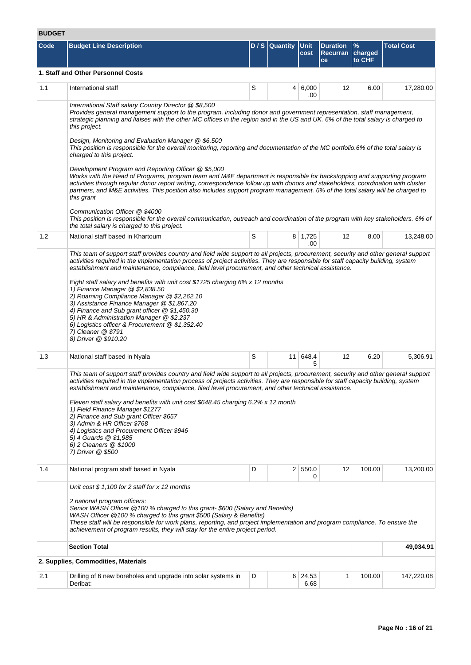# **BUDGET**

| ᄓᄖᄖ  |                                                                                                                                                                                                                                                                                                                                                                                                                                                                                                                                                                                                                                                                                                         |   |                  |                        |                                   |                           |                   |
|------|---------------------------------------------------------------------------------------------------------------------------------------------------------------------------------------------------------------------------------------------------------------------------------------------------------------------------------------------------------------------------------------------------------------------------------------------------------------------------------------------------------------------------------------------------------------------------------------------------------------------------------------------------------------------------------------------------------|---|------------------|------------------------|-----------------------------------|---------------------------|-------------------|
| Code | <b>Budget Line Description</b>                                                                                                                                                                                                                                                                                                                                                                                                                                                                                                                                                                                                                                                                          |   | $D / S$ Quantity | Unit<br>cost           | <b>Duration</b><br>Recurran<br>ce | $\%$<br>charged<br>to CHF | <b>Total Cost</b> |
|      | 1. Staff and Other Personnel Costs                                                                                                                                                                                                                                                                                                                                                                                                                                                                                                                                                                                                                                                                      |   |                  |                        |                                   |                           |                   |
| 1.1  | International staff                                                                                                                                                                                                                                                                                                                                                                                                                                                                                                                                                                                                                                                                                     | S |                  | 4 6,000<br>.00         | 12                                | 6.00                      | 17,280.00         |
|      | International Staff salary Country Director @ \$8,500<br>Provides general management support to the program, including donor and government representation, staff management,<br>strategic planning and liaises with the other MC offices in the region and in the US and UK. 6% of the total salary is charged to<br>this project.<br>Design, Monitoring and Evaluation Manager @ \$6,500<br>This position is responsible for the overall monitoring, reporting and documentation of the MC portfolio.6% of the total salary is                                                                                                                                                                        |   |                  |                        |                                   |                           |                   |
|      | charged to this project.<br>Development Program and Reporting Officer @ \$5,000<br>Works with the Head of Programs, program team and M&E department is responsible for backstopping and supporting program<br>activities through regular donor report writing, correspondence follow up with donors and stakeholders, coordination with cluster<br>partners, and M&E activities. This position also includes support program management. 6% of the total salary will be charged to<br>this grant<br>Communication Officer @ \$4000                                                                                                                                                                      |   |                  |                        |                                   |                           |                   |
|      | This position is responsible for the overall communication, outreach and coordination of the program with key stakeholders. 6% of<br>the total salary is charged to this project.                                                                                                                                                                                                                                                                                                                                                                                                                                                                                                                       |   |                  |                        |                                   |                           |                   |
| 1.2  | National staff based in Khartoum                                                                                                                                                                                                                                                                                                                                                                                                                                                                                                                                                                                                                                                                        | S |                  | 8 1,725<br>.00         | 12                                | 8.00                      | 13,248.00         |
|      | establishment and maintenance, compliance, field level procurement, and other technical assistance.<br>Eight staff salary and benefits with unit cost \$1725 charging 6% x 12 months<br>1) Finance Manager @ \$2,838.50<br>2) Roaming Compliance Manager @ \$2,262.10<br>3) Assistance Finance Manager @ \$1,867.20<br>4) Finance and Sub grant officer @ \$1,450.30<br>5) HR & Administration Manager @ \$2,237<br>6) Logistics officer & Procurement @ \$1,352.40<br>7) Cleaner @ \$791<br>8) Driver @ \$910.20                                                                                                                                                                                       |   |                  |                        |                                   |                           |                   |
| 1.3  | National staff based in Nyala                                                                                                                                                                                                                                                                                                                                                                                                                                                                                                                                                                                                                                                                           | S |                  | 11 648.4<br>5          | 12                                | 6.20                      | 5,306.91          |
|      | This team of support staff provides country and field wide support to all projects, procurement, security and other general support<br>activities required in the implementation process of projects activities. They are responsible for staff capacity building, system<br>establishment and maintenance, compliance, filed level procurement, and other technical assistance.<br>Eleven staff salary and benefits with unit cost \$648.45 charging 6.2% x 12 month<br>1) Field Finance Manager \$1277<br>2) Finance and Sub grant Officer \$657<br>3) Admin & HR Officer \$768<br>4) Logistics and Procurement Officer \$946<br>5) 4 Guards @ \$1,985<br>6) 2 Cleaners @ \$1000<br>7) Driver @ \$500 |   |                  |                        |                                   |                           |                   |
| 1.4  | National program staff based in Nyala                                                                                                                                                                                                                                                                                                                                                                                                                                                                                                                                                                                                                                                                   | D |                  | 2 550.0<br>0           | 12                                | 100.00                    | 13,200.00         |
|      | Unit cost $$ 1,100$ for 2 staff for x 12 months<br>2 national program officers:<br>Senior WASH Officer @100 % charged to this grant- \$600 (Salary and Benefits)<br>WASH Officer @100 % charged to this grant \$500 (Salary & Benefits)<br>These staff will be responsible for work plans, reporting, and project implementation and program compliance. To ensure the<br>achievement of program results, they will stay for the entire project period.                                                                                                                                                                                                                                                 |   |                  |                        |                                   |                           |                   |
|      | <b>Section Total</b>                                                                                                                                                                                                                                                                                                                                                                                                                                                                                                                                                                                                                                                                                    |   |                  |                        |                                   |                           | 49,034.91         |
|      | 2. Supplies, Commodities, Materials                                                                                                                                                                                                                                                                                                                                                                                                                                                                                                                                                                                                                                                                     |   |                  |                        |                                   |                           |                   |
| 2.1  | Drilling of 6 new boreholes and upgrade into solar systems in<br>Deribat:                                                                                                                                                                                                                                                                                                                                                                                                                                                                                                                                                                                                                               | D |                  | $6 \mid 24,53$<br>6.68 | 1                                 | 100.00                    | 147,220.08        |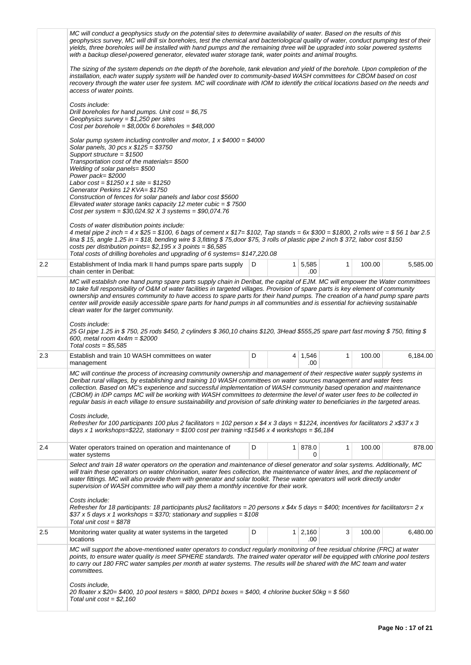|     | MC will conduct a geophysics study on the potential sites to determine availability of water. Based on the results of this<br>geophysics survey, MC will drill six boreholes, test the chemical and bacteriological quality of water, conduct pumping test of their<br>yields, three boreholes will be installed with hand pumps and the remaining three will be upgraded into solar powered systems<br>with a backup diesel-powered generator, elevated water storage tank, water points and animal troughs.                                                                                                                                                                                                                                                                                                                                                                                          |   |  |                       |              |        |          |  |  |
|-----|--------------------------------------------------------------------------------------------------------------------------------------------------------------------------------------------------------------------------------------------------------------------------------------------------------------------------------------------------------------------------------------------------------------------------------------------------------------------------------------------------------------------------------------------------------------------------------------------------------------------------------------------------------------------------------------------------------------------------------------------------------------------------------------------------------------------------------------------------------------------------------------------------------|---|--|-----------------------|--------------|--------|----------|--|--|
|     | The sizing of the system depends on the depth of the borehole, tank elevation and yield of the borehole. Upon completion of the<br>installation, each water supply system will be handed over to community-based WASH committees for CBOM based on cost<br>recovery through the water user fee system. MC will coordinate with IOM to identify the critical locations based on the needs and<br>access of water points.                                                                                                                                                                                                                                                                                                                                                                                                                                                                                |   |  |                       |              |        |          |  |  |
|     | Costs include:<br>Drill boreholes for hand pumps. Unit $cost = $6,75$<br>Geophysics survey = $$1,250$ per sites<br>Cost per borehole = $$8,000x$ 6 boreholes = $$48,000$                                                                                                                                                                                                                                                                                                                                                                                                                                                                                                                                                                                                                                                                                                                               |   |  |                       |              |        |          |  |  |
|     | Solar pump system including controller and motor, 1 x $$4000 = $4000$<br>Solar panels, 30 pcs $x $125 = $3750$<br>Support structure = $$1500$<br>Transportation cost of the materials= \$500<br>Welding of solar panels= \$500<br>Power pack=\$2000                                                                                                                                                                                                                                                                                                                                                                                                                                                                                                                                                                                                                                                    |   |  |                       |              |        |          |  |  |
|     | Labor cost = $$1250 \times 1$ site = $$1250$<br>Generator Perkins 12 KVA= \$1750<br>Construction of fences for solar panels and labor cost \$5600<br>Elevated water storage tanks capacity 12 meter cubic = $$7500$<br>Cost per system = $$30,024.92$ X 3 systems = $$90,074.76$                                                                                                                                                                                                                                                                                                                                                                                                                                                                                                                                                                                                                       |   |  |                       |              |        |          |  |  |
|     | Costs of water distribution points include:<br>4 metal pipe 2 inch = 4 x \$25 = \$100, 6 bags of cement x \$17= \$102, Tap stands = 6x \$300 = \$1800, 2 rolls wire = \$56 1 bar 2.5<br>lina \$15, angle 1.25 in = \$18, bending wire \$3, fitting \$75, door \$75, 3 rolls of plastic pipe 2 inch \$372, labor cost \$150<br>costs per distribution points= $$2,195 \times 3$ points = $$6,585$<br>Total costs of drilling boreholes and upgrading of 6 systems= \$147,220.08                                                                                                                                                                                                                                                                                                                                                                                                                         |   |  |                       |              |        |          |  |  |
| 2.2 | Establishment of India mark II hand pumps spare parts supply<br>chain center in Deribat:                                                                                                                                                                                                                                                                                                                                                                                                                                                                                                                                                                                                                                                                                                                                                                                                               | D |  | 1 5,585<br>.00        | $\mathbf{1}$ | 100.00 | 5,585.00 |  |  |
|     | MC will establish one hand pump spare parts supply chain in Deribat, the capital of EJM. MC will empower the Water committees<br>to take full responsibility of O&M of water facilities in targeted villages. Provision of spare parts is key element of community<br>ownership and ensures community to have access to spare parts for their hand pumps. The creation of a hand pump spare parts<br>center will provide easily accessible spare parts for hand pumps in all communities and is essential for achieving sustainable<br>clean water for the target community.<br>Costs include:<br>25 GI pipe 1.25 in \$ 750, 25 rods \$450, 2 cylinders \$ 360,10 chains \$120, 3Head \$555,25 spare part fast moving \$ 750, fitting \$<br>600, metal room $4x4m = $2000$<br>Total costs = $$5,585$                                                                                                   |   |  |                       |              |        |          |  |  |
| 2.3 | Establish and train 10 WASH committees on water<br>management                                                                                                                                                                                                                                                                                                                                                                                                                                                                                                                                                                                                                                                                                                                                                                                                                                          | D |  | $4 \mid 1,546$<br>.00 | $\mathbf{1}$ | 100.00 | 6,184.00 |  |  |
|     | MC will continue the process of increasing community ownership and management of their respective water supply systems in<br>Deribat rural villages, by establishing and training 10 WASH committees on water sources management and water fees<br>collection. Based on MC's experience and successful implementation of WASH community based operation and maintenance<br>(CBOM) in IDP camps MC will be working with WASH committees to determine the level of water user fees to be collected in<br>regular basis in each village to ensure sustainability and provision of safe drinking water to beneficiaries in the targeted areas.<br>Costs include,<br>Refresher for 100 participants 100 plus 2 facilitators = 102 person x \$4 x 3 days = \$1224, incentives for facilitators 2 x\$37 x 3<br>days x 1 workshops=\$222, stationary = \$100 cost per training =\$1546 x 4 workshops = \$6,184 |   |  |                       |              |        |          |  |  |
| 2.4 | Water operators trained on operation and maintenance of<br>water systems                                                                                                                                                                                                                                                                                                                                                                                                                                                                                                                                                                                                                                                                                                                                                                                                                               | D |  | 1 878.0<br>0          | 1            | 100.00 | 878.00   |  |  |
|     | Select and train 18 water operators on the operation and maintenance of diesel generator and solar systems. Additionally, MC<br>will train these operators on water chlorination, water fees collection, the maintenance of water lines, and the replacement of<br>water fittings. MC will also provide them with generator and solar toolkit. These water operators will work directly under<br>supervision of WASH committee who will pay them a monthly incentive for their work.<br>Costs include:<br>Refresher for 18 participants: 18 participants plus2 facilitators = 20 persons x \$4x 5 days = \$400; Incentives for facilitators= 2 x<br>\$37 x 5 days x 1 workshops = \$370; stationary and supplies = \$108<br>Total unit $cost = $878$                                                                                                                                                   |   |  |                       |              |        |          |  |  |
| 2.5 | Monitoring water quality at water systems in the targeted<br>locations                                                                                                                                                                                                                                                                                                                                                                                                                                                                                                                                                                                                                                                                                                                                                                                                                                 | D |  | $1 \mid 2,160$<br>.00 | 3            | 100.00 | 6,480.00 |  |  |
|     | MC will support the above-mentioned water operators to conduct regularly monitoring of free residual chlorine (FRC) at water<br>points, to ensure water quality is meet SPHERE standards. The trained water operator will be equipped with chlorine pool testers<br>to carry out 180 FRC water samples per month at water systems. The results will be shared with the MC team and water<br>committees.<br>Costs include,<br>20 floater x \$20= \$400, 10 pool testers = \$800, DPD1 boxes = \$400, 4 chlorine bucket 50kg = \$560                                                                                                                                                                                                                                                                                                                                                                     |   |  |                       |              |        |          |  |  |
|     | Total unit $cost = $2,160$                                                                                                                                                                                                                                                                                                                                                                                                                                                                                                                                                                                                                                                                                                                                                                                                                                                                             |   |  |                       |              |        |          |  |  |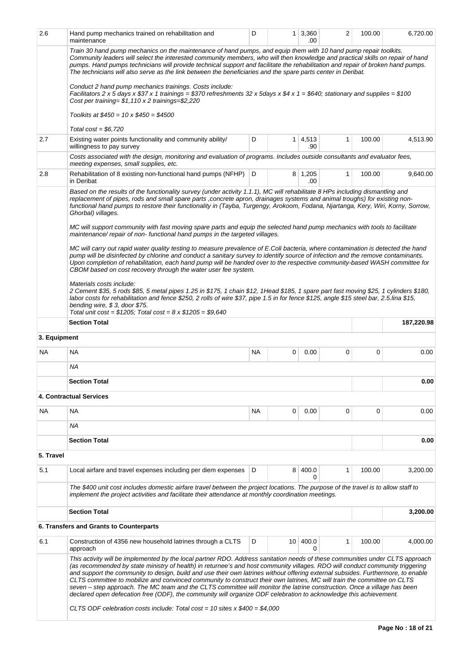| 2.6                                                                                                                                                                                                                                                                                                                                                                                                                                                                                                                                                                                                                                                                                                                                                                                                                                                             | Hand pump mechanics trained on rehabilitation and<br>maintenance                                                                                                                                                                                                                                                                                                                                                                                                                                                                                   | D  | 1  | 3,360<br>.00          | 2            | 100.00 | 6,720.00   |  |
|-----------------------------------------------------------------------------------------------------------------------------------------------------------------------------------------------------------------------------------------------------------------------------------------------------------------------------------------------------------------------------------------------------------------------------------------------------------------------------------------------------------------------------------------------------------------------------------------------------------------------------------------------------------------------------------------------------------------------------------------------------------------------------------------------------------------------------------------------------------------|----------------------------------------------------------------------------------------------------------------------------------------------------------------------------------------------------------------------------------------------------------------------------------------------------------------------------------------------------------------------------------------------------------------------------------------------------------------------------------------------------------------------------------------------------|----|----|-----------------------|--------------|--------|------------|--|
|                                                                                                                                                                                                                                                                                                                                                                                                                                                                                                                                                                                                                                                                                                                                                                                                                                                                 | Train 30 hand pump mechanics on the maintenance of hand pumps, and equip them with 10 hand pump repair toolkits.<br>Community leaders will select the interested community members, who will then knowledge and practical skills on repair of hand<br>pumps. Hand pumps technicians will provide technical support and facilitate the rehabilitation and repair of broken hand pumps.<br>The technicians will also serve as the link between the beneficiaries and the spare parts center in Deribat.                                              |    |    |                       |              |        |            |  |
|                                                                                                                                                                                                                                                                                                                                                                                                                                                                                                                                                                                                                                                                                                                                                                                                                                                                 | Conduct 2 hand pump mechanics trainings. Costs include:<br>Facilitators 2 x 5 days x \$37 x 1 trainings = \$370 refreshments 32 x 5days x \$4 x 1 = \$640; stationary and supplies = \$100<br>Cost per training= $$1,110 \times 2$ trainings= $$2,220$                                                                                                                                                                                                                                                                                             |    |    |                       |              |        |            |  |
|                                                                                                                                                                                                                                                                                                                                                                                                                                                                                                                                                                                                                                                                                                                                                                                                                                                                 | Toolkits at $$450 = 10 \times $450 = $4500$                                                                                                                                                                                                                                                                                                                                                                                                                                                                                                        |    |    |                       |              |        |            |  |
|                                                                                                                                                                                                                                                                                                                                                                                                                                                                                                                                                                                                                                                                                                                                                                                                                                                                 | Total $cost = $6,720$                                                                                                                                                                                                                                                                                                                                                                                                                                                                                                                              |    |    |                       |              |        |            |  |
| 2.7                                                                                                                                                                                                                                                                                                                                                                                                                                                                                                                                                                                                                                                                                                                                                                                                                                                             | Existing water points functionality and community ability/<br>willingness to pay survey                                                                                                                                                                                                                                                                                                                                                                                                                                                            | D  |    | $1 \mid 4,513$<br>.90 | $\mathbf{1}$ | 100.00 | 4,513.90   |  |
|                                                                                                                                                                                                                                                                                                                                                                                                                                                                                                                                                                                                                                                                                                                                                                                                                                                                 | Costs associated with the design, monitoring and evaluation of programs. Includes outside consultants and evaluator fees,<br>meeting expenses, small supplies, etc.                                                                                                                                                                                                                                                                                                                                                                                |    |    |                       |              |        |            |  |
| 2.8                                                                                                                                                                                                                                                                                                                                                                                                                                                                                                                                                                                                                                                                                                                                                                                                                                                             | Rehabilitation of 8 existing non-functional hand pumps (NFHP) D<br>in Deribat                                                                                                                                                                                                                                                                                                                                                                                                                                                                      |    |    | $8 \mid 1,205$<br>.00 | 1            | 100.00 | 9,640.00   |  |
|                                                                                                                                                                                                                                                                                                                                                                                                                                                                                                                                                                                                                                                                                                                                                                                                                                                                 | Based on the results of the functionality survey (under activity 1.1.1), MC will rehabilitate 8 HPs including dismantling and<br>replacement of pipes, rods and small spare parts, concrete apron, drainages systems and animal troughs) for existing non-<br>functional hand pumps to restore their functionality in (Tayba, Turgengy, Arokoom, Fodana, Njartanga, Kery, Wiri, Korny, Sorrow,<br>Ghorbal) villages.<br>MC will support community with fast moving spare parts and equip the selected hand pump mechanics with tools to facilitate |    |    |                       |              |        |            |  |
|                                                                                                                                                                                                                                                                                                                                                                                                                                                                                                                                                                                                                                                                                                                                                                                                                                                                 | maintenance/repair of non-functional hand pumps in the targeted villages.<br>MC will carry out rapid water quality testing to measure prevalence of E.Coli bacteria, where contamination is detected the hand<br>pump will be disinfected by chlorine and conduct a sanitary survey to identify source of infection and the remove contaminants.<br>Upon completion of rehabilitation, each hand pump will be handed over to the respective community-based WASH committee for<br>CBOM based on cost recovery through the water user fee system.   |    |    |                       |              |        |            |  |
|                                                                                                                                                                                                                                                                                                                                                                                                                                                                                                                                                                                                                                                                                                                                                                                                                                                                 | Materials costs include:<br>2 Cement \$35, 5 rods \$85, 5 metal pipes 1.25 in \$175, 1 chain \$12, 1 Head \$185, 1 spare part fast moving \$25, 1 cylinders \$180,<br>labor costs for rehabilitation and fence \$250, 2 rolls of wire \$37, pipe 1.5 in for fence \$125, angle \$15 steel bar, 2.5 lina \$15,<br>bending wire, $$3$ , door \$75.<br>Total unit cost = $$1205$ ; Total cost = $8 \times $1205 = $9,640$                                                                                                                             |    |    |                       |              |        |            |  |
|                                                                                                                                                                                                                                                                                                                                                                                                                                                                                                                                                                                                                                                                                                                                                                                                                                                                 | <b>Section Total</b>                                                                                                                                                                                                                                                                                                                                                                                                                                                                                                                               |    |    |                       |              |        | 187,220.98 |  |
| 3. Equipment                                                                                                                                                                                                                                                                                                                                                                                                                                                                                                                                                                                                                                                                                                                                                                                                                                                    |                                                                                                                                                                                                                                                                                                                                                                                                                                                                                                                                                    |    |    |                       |              |        |            |  |
| NA.                                                                                                                                                                                                                                                                                                                                                                                                                                                                                                                                                                                                                                                                                                                                                                                                                                                             | <b>NA</b>                                                                                                                                                                                                                                                                                                                                                                                                                                                                                                                                          | NA | 0  | 0.00                  | 0            | 0      | 0.00       |  |
|                                                                                                                                                                                                                                                                                                                                                                                                                                                                                                                                                                                                                                                                                                                                                                                                                                                                 | ΝA                                                                                                                                                                                                                                                                                                                                                                                                                                                                                                                                                 |    |    |                       |              |        |            |  |
|                                                                                                                                                                                                                                                                                                                                                                                                                                                                                                                                                                                                                                                                                                                                                                                                                                                                 | <b>Section Total</b>                                                                                                                                                                                                                                                                                                                                                                                                                                                                                                                               |    |    |                       |              |        | 0.00       |  |
|                                                                                                                                                                                                                                                                                                                                                                                                                                                                                                                                                                                                                                                                                                                                                                                                                                                                 | 4. Contractual Services                                                                                                                                                                                                                                                                                                                                                                                                                                                                                                                            |    |    |                       |              |        |            |  |
| ΝA                                                                                                                                                                                                                                                                                                                                                                                                                                                                                                                                                                                                                                                                                                                                                                                                                                                              | <b>NA</b>                                                                                                                                                                                                                                                                                                                                                                                                                                                                                                                                          | NА | 0  | 0.00                  | 0            | 0      | 0.00       |  |
|                                                                                                                                                                                                                                                                                                                                                                                                                                                                                                                                                                                                                                                                                                                                                                                                                                                                 | ΝA                                                                                                                                                                                                                                                                                                                                                                                                                                                                                                                                                 |    |    |                       |              |        |            |  |
|                                                                                                                                                                                                                                                                                                                                                                                                                                                                                                                                                                                                                                                                                                                                                                                                                                                                 | <b>Section Total</b>                                                                                                                                                                                                                                                                                                                                                                                                                                                                                                                               |    |    |                       |              |        | 0.00       |  |
| 5. Travel                                                                                                                                                                                                                                                                                                                                                                                                                                                                                                                                                                                                                                                                                                                                                                                                                                                       |                                                                                                                                                                                                                                                                                                                                                                                                                                                                                                                                                    |    |    |                       |              |        |            |  |
| 5.1                                                                                                                                                                                                                                                                                                                                                                                                                                                                                                                                                                                                                                                                                                                                                                                                                                                             | Local airfare and travel expenses including per diem expenses                                                                                                                                                                                                                                                                                                                                                                                                                                                                                      | D  | 8  | 400.0                 | 1            | 100.00 | 3,200.00   |  |
|                                                                                                                                                                                                                                                                                                                                                                                                                                                                                                                                                                                                                                                                                                                                                                                                                                                                 | The \$400 unit cost includes domestic airfare travel between the project locations. The purpose of the travel is to allow staff to<br>implement the project activities and facilitate their attendance at monthly coordination meetings.                                                                                                                                                                                                                                                                                                           |    |    |                       |              |        |            |  |
|                                                                                                                                                                                                                                                                                                                                                                                                                                                                                                                                                                                                                                                                                                                                                                                                                                                                 | <b>Section Total</b>                                                                                                                                                                                                                                                                                                                                                                                                                                                                                                                               |    |    |                       |              |        | 3,200.00   |  |
|                                                                                                                                                                                                                                                                                                                                                                                                                                                                                                                                                                                                                                                                                                                                                                                                                                                                 | 6. Transfers and Grants to Counterparts                                                                                                                                                                                                                                                                                                                                                                                                                                                                                                            |    |    |                       |              |        |            |  |
| 6.1                                                                                                                                                                                                                                                                                                                                                                                                                                                                                                                                                                                                                                                                                                                                                                                                                                                             | Construction of 4356 new household latrines through a CLTS<br>approach                                                                                                                                                                                                                                                                                                                                                                                                                                                                             | D  | 10 | 400.0<br>0            | $\mathbf{1}$ | 100.00 | 4,000.00   |  |
| This activity will be implemented by the local partner RDO. Address sanitation needs of these communities under CLTS approach<br>(as recommended by state ministry of health) in returnee's and host community villages. RDO will conduct community triggering<br>and support the community to design, build and use their own latrines without offering external subsides. Furthermore, to enable<br>CLTS committee to mobilize and convinced community to construct their own latrines, MC will train the committee on CLTS<br>seven - step approach. The MC team and the CLTS committee will monitor the latrine construction. Once a village has been<br>declared open defecation free (ODF), the community will organize ODF celebration to acknowledge this achievement.<br>CLTS ODF celebration costs include: Total cost = 10 sites $x$ \$400 = \$4,000 |                                                                                                                                                                                                                                                                                                                                                                                                                                                                                                                                                    |    |    |                       |              |        |            |  |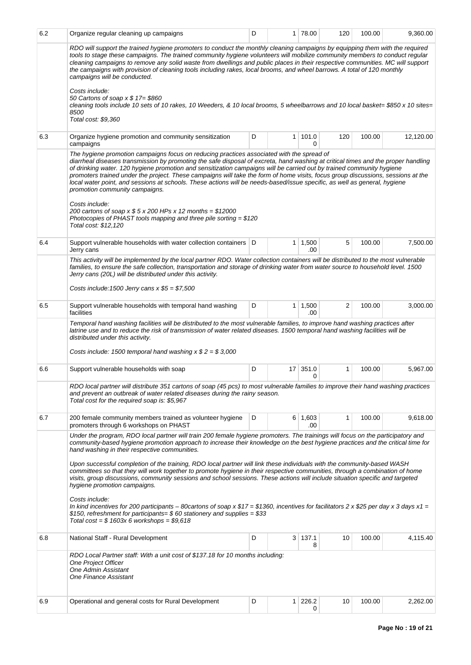| 6.2 | Organize regular cleaning up campaigns                                                                                                                                                                                                                                                                                                                                                                                                                                                                                                                                                                                                                                                                                                                                                                                                   | D |                 | 1 78.00               | 120          | 100.00 | 9,360.00  |  |
|-----|------------------------------------------------------------------------------------------------------------------------------------------------------------------------------------------------------------------------------------------------------------------------------------------------------------------------------------------------------------------------------------------------------------------------------------------------------------------------------------------------------------------------------------------------------------------------------------------------------------------------------------------------------------------------------------------------------------------------------------------------------------------------------------------------------------------------------------------|---|-----------------|-----------------------|--------------|--------|-----------|--|
|     | RDO will support the trained hygiene promoters to conduct the monthly cleaning campaigns by equipping them with the required<br>tools to stage these campaigns. The trained community hygiene volunteers will mobilize community members to conduct regular<br>cleaning campaigns to remove any solid waste from dwellings and public places in their respective communities. MC will support<br>the campaigns with provision of cleaning tools including rakes, local brooms, and wheel barrows. A total of 120 monthly<br>campaigns will be conducted.                                                                                                                                                                                                                                                                                 |   |                 |                       |              |        |           |  |
|     | Costs include:<br>50 Cartons of soap x \$ 17= \$860<br>cleaning tools include 10 sets of 10 rakes, 10 Weeders, & 10 local brooms, 5 wheelbarrows and 10 local basket= \$850 x 10 sites=<br>8500<br>Total cost: \$9,360                                                                                                                                                                                                                                                                                                                                                                                                                                                                                                                                                                                                                   |   |                 |                       |              |        |           |  |
| 6.3 | Organize hygiene promotion and community sensitization<br>campaigns                                                                                                                                                                                                                                                                                                                                                                                                                                                                                                                                                                                                                                                                                                                                                                      | D | $\mathbf{1}$    | 101.0<br>0            | 120          | 100.00 | 12,120.00 |  |
|     | The hygiene promotion campaigns focus on reducing practices associated with the spread of<br>diarrheal diseases transmission by promoting the safe disposal of excreta, hand washing at critical times and the proper handling<br>of drinking water. 120 hygiene promotion and sensitization campaigns will be carried out by trained community hygiene<br>promoters trained under the project. These campaigns will take the form of home visits, focus group discussions, sessions at the<br>local water point, and sessions at schools. These actions will be needs-based/issue specific, as well as general, hygiene<br>promotion community campaigns.<br>Costs include:<br>200 cartons of soap x $$5 x 200$ HPs x 12 months = \$12000<br>Photocopies of PHAST tools mapping and three pile sorting = $$120$<br>Total cost: \$12,120 |   |                 |                       |              |        |           |  |
| 6.4 | Support vulnerable households with water collection containers   D<br>Jerry cans                                                                                                                                                                                                                                                                                                                                                                                                                                                                                                                                                                                                                                                                                                                                                         |   | 1 <sup>1</sup>  | 1,500<br>.00          | 5            | 100.00 | 7,500.00  |  |
|     | This activity will be implemented by the local partner RDO. Water collection containers will be distributed to the most vulnerable<br>families, to ensure the safe collection, transportation and storage of drinking water from water source to household level. 1500<br>Jerry cans (20L) will be distributed under this activity.<br>Costs include: 1500 Jerry cans $x $5 = $7,500$                                                                                                                                                                                                                                                                                                                                                                                                                                                    |   |                 |                       |              |        |           |  |
| 6.5 | Support vulnerable households with temporal hand washing<br>facilities                                                                                                                                                                                                                                                                                                                                                                                                                                                                                                                                                                                                                                                                                                                                                                   | D | $\mathbf{1}$    | 1,500<br>.00          | 2            | 100.00 | 3,000.00  |  |
|     | Temporal hand washing facilities will be distributed to the most vulnerable families, to improve hand washing practices after<br>latrine use and to reduce the risk of transmission of water related diseases. 1500 temporal hand washing facilities will be<br>distributed under this activity.                                                                                                                                                                                                                                                                                                                                                                                                                                                                                                                                         |   |                 |                       |              |        |           |  |
|     | Costs include: 1500 temporal hand washing $x $ 2 = $ 3,000$                                                                                                                                                                                                                                                                                                                                                                                                                                                                                                                                                                                                                                                                                                                                                                              |   |                 |                       |              |        |           |  |
| 6.6 | Support vulnerable households with soap                                                                                                                                                                                                                                                                                                                                                                                                                                                                                                                                                                                                                                                                                                                                                                                                  | D | 17 <sup>1</sup> | 351.0<br>0            | 1            | 100.00 | 5,967.00  |  |
|     | RDO local partner will distribute 351 cartons of soap (45 pcs) to most vulnerable families to improve their hand washing practices<br>and prevent an outbreak of water related diseases during the rainy season.<br>Total cost for the required soap is: \$5,967                                                                                                                                                                                                                                                                                                                                                                                                                                                                                                                                                                         |   |                 |                       |              |        |           |  |
| 6.7 | 200 female community members trained as volunteer hygiene<br>promoters through 6 workshops on PHAST                                                                                                                                                                                                                                                                                                                                                                                                                                                                                                                                                                                                                                                                                                                                      | D |                 | $6 \mid 1,603$<br>.00 | $\mathbf{1}$ | 100.00 | 9,618.00  |  |
|     | Under the program, RDO local partner will train 200 female hygiene promoters. The trainings will focus on the participatory and<br>community-based hygiene promotion approach to increase their knowledge on the best hygiene practices and the critical time for<br>hand washing in their respective communities.<br>Upon successful completion of the training, RDO local partner will link these individuals with the community-based WASH<br>committees so that they will work together to promote hygiene in their respective communities, through a combination of home<br>visits, group discussions, community sessions and school sessions. These actions will include situation specific and targeted                                                                                                                           |   |                 |                       |              |        |           |  |
|     | hygiene promotion campaigns.<br>Costs include:<br>In kind incentives for 200 participants – 80cartons of soap x \$17 = \$1360, incentives for facilitators 2 x \$25 per day x 3 days x1 =<br>\$150, refreshment for participants= \$60 stationery and supplies = \$33<br>Total cost = $$1603x$ 6 workshops = $$9,618$                                                                                                                                                                                                                                                                                                                                                                                                                                                                                                                    |   |                 |                       |              |        |           |  |
| 6.8 | National Staff - Rural Development                                                                                                                                                                                                                                                                                                                                                                                                                                                                                                                                                                                                                                                                                                                                                                                                       | D |                 | $3 \mid 137.1$<br>8   | 10           | 100.00 | 4,115.40  |  |
|     | RDO Local Partner staff: With a unit cost of \$137.18 for 10 months including:<br><b>One Project Officer</b><br><b>One Admin Assistant</b><br><b>One Finance Assistant</b>                                                                                                                                                                                                                                                                                                                                                                                                                                                                                                                                                                                                                                                               |   |                 |                       |              |        |           |  |
| 6.9 | Operational and general costs for Rural Development                                                                                                                                                                                                                                                                                                                                                                                                                                                                                                                                                                                                                                                                                                                                                                                      | D | $\mathbf{1}$    | 226.2<br>0            | 10           | 100.00 | 2,262.00  |  |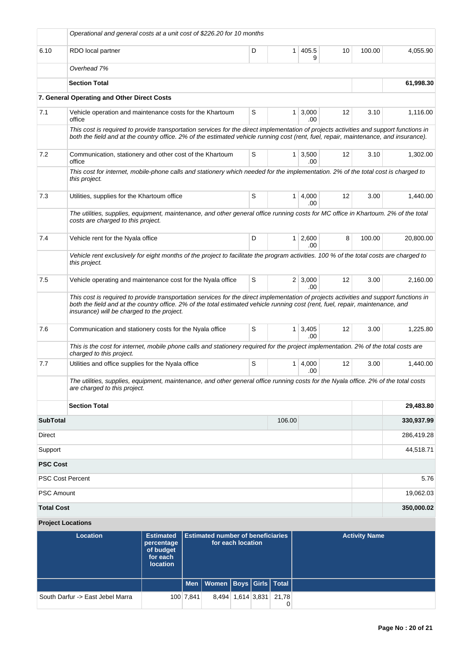| Operational and general costs at a unit cost of \$226.20 for 10 months                                                                                                                                                                                                                                                 |  |   |                |                       |    |        |            |  |
|------------------------------------------------------------------------------------------------------------------------------------------------------------------------------------------------------------------------------------------------------------------------------------------------------------------------|--|---|----------------|-----------------------|----|--------|------------|--|
| 6.10<br>RDO local partner                                                                                                                                                                                                                                                                                              |  | D | 1 <sup>1</sup> | 405.5<br>9            | 10 | 100.00 | 4,055.90   |  |
| Overhead 7%                                                                                                                                                                                                                                                                                                            |  |   |                |                       |    |        |            |  |
| <b>Section Total</b>                                                                                                                                                                                                                                                                                                   |  |   |                |                       |    |        | 61,998.30  |  |
| 7. General Operating and Other Direct Costs                                                                                                                                                                                                                                                                            |  |   |                |                       |    |        |            |  |
| 7.1<br>Vehicle operation and maintenance costs for the Khartoum<br>office                                                                                                                                                                                                                                              |  | S |                | $1 \, 3,000$<br>.00   | 12 | 3.10   | 1,116.00   |  |
| This cost is required to provide transportation services for the direct implementation of projects activities and support functions in<br>both the field and at the country office. 2% of the estimated vehicle running cost (rent, fuel, repair, maintenance, and insurance).                                         |  |   |                |                       |    |        |            |  |
| 7.2<br>Communication, stationery and other cost of the Khartoum<br>office                                                                                                                                                                                                                                              |  | S |                | $1 \, 3,500$<br>.00.  | 12 | 3.10   | 1,302.00   |  |
| This cost for internet, mobile-phone calls and stationery which needed for the implementation. 2% of the total cost is charged to<br>this project.                                                                                                                                                                     |  |   |                |                       |    |        |            |  |
| 7.3<br>Utilities, supplies for the Khartoum office                                                                                                                                                                                                                                                                     |  | S |                | $1 \mid 4,000$<br>.00 | 12 | 3.00   | 1,440.00   |  |
| The utilities, supplies, equipment, maintenance, and other general office running costs for MC office in Khartoum. 2% of the total<br>costs are charged to this project.                                                                                                                                               |  |   |                |                       |    |        |            |  |
| 7.4<br>Vehicle rent for the Nyala office                                                                                                                                                                                                                                                                               |  | D |                | $1 \mid 2,600$<br>.00 | 8  | 100.00 | 20,800.00  |  |
| Vehicle rent exclusively for eight months of the project to facilitate the program activities. 100 % of the total costs are charged to<br>this project.                                                                                                                                                                |  |   |                |                       |    |        |            |  |
| 7.5<br>Vehicle operating and maintenance cost for the Nyala office                                                                                                                                                                                                                                                     |  | S |                | $2 \mid 3,000$<br>.00 | 12 | 3.00   | 2,160.00   |  |
| This cost is required to provide transportation services for the direct implementation of projects activities and support functions in<br>both the field and at the country office. 2% of the total estimated vehicle running cost (rent, fuel, repair, maintenance, and<br>insurance) will be charged to the project. |  |   |                |                       |    |        |            |  |
| 7.6<br>Communication and stationery costs for the Nyala office                                                                                                                                                                                                                                                         |  | S |                | $1 \mid 3,405$<br>.00 | 12 | 3.00   | 1,225.80   |  |
| This is the cost for internet, mobile phone calls and stationery required for the project implementation. 2% of the total costs are<br>charged to this project.                                                                                                                                                        |  |   |                |                       |    |        |            |  |
| 7.7<br>Utilities and office supplies for the Nyala office                                                                                                                                                                                                                                                              |  | S |                | 1   4,000<br>.00      | 12 | 3.00   | 1,440.00   |  |
| The utilities, supplies, equipment, maintenance, and other general office running costs for the Nyala office. 2% of the total costs<br>are charged to this project.                                                                                                                                                    |  |   |                |                       |    |        |            |  |
| <b>Section Total</b>                                                                                                                                                                                                                                                                                                   |  |   |                |                       |    |        | 29,483.80  |  |
| <b>SubTotal</b>                                                                                                                                                                                                                                                                                                        |  |   | 106.00         |                       |    |        | 330,937.99 |  |
| Direct                                                                                                                                                                                                                                                                                                                 |  |   |                |                       |    |        | 286,419.28 |  |
| Support                                                                                                                                                                                                                                                                                                                |  |   |                |                       |    |        | 44,518.71  |  |
| <b>PSC Cost</b>                                                                                                                                                                                                                                                                                                        |  |   |                |                       |    |        |            |  |
| <b>PSC Cost Percent</b>                                                                                                                                                                                                                                                                                                |  |   |                |                       |    |        | 5.76       |  |
| PSC Amount                                                                                                                                                                                                                                                                                                             |  |   |                |                       |    |        | 19,062.03  |  |
| <b>Total Cost</b><br><b>Project Locations</b>                                                                                                                                                                                                                                                                          |  |   |                |                       |    |        | 350,000.02 |  |

| Location                         | <b>Estimated</b><br>percentage<br>of budget<br>for each<br><b>location</b> |           | <b>Estimated number of beneficiaries</b><br>for each location |             |  |            | <b>Activity Name</b> |
|----------------------------------|----------------------------------------------------------------------------|-----------|---------------------------------------------------------------|-------------|--|------------|----------------------|
|                                  |                                                                            |           | Men   Women   Boys   Girls   Total                            |             |  |            |                      |
| South Darfur -> East Jebel Marra |                                                                            | 100 7,841 | 8.494                                                         | 1,614 3,831 |  | 21.78<br>0 |                      |